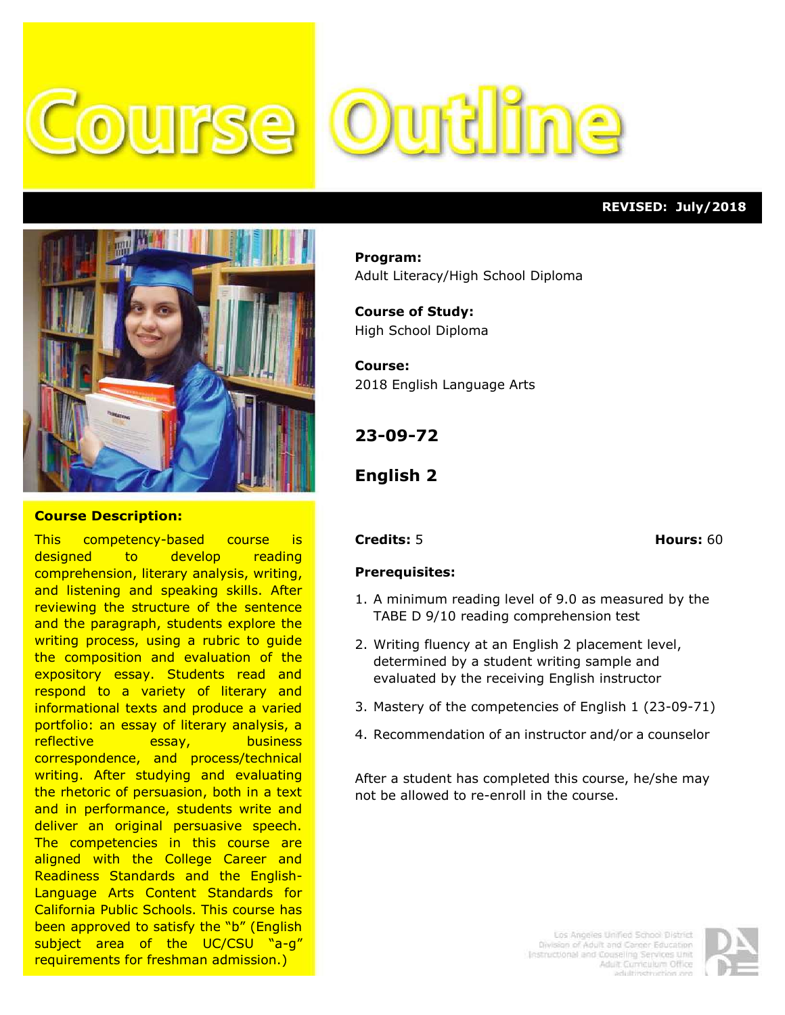# Oudline

## **REVISED: July/2018**



### **Course Description:**

This competency-based course is designed to develop reading comprehension, literary analysis, writing, and listening and speaking skills. After reviewing the structure of the sentence and the paragraph, students explore the writing process, using a rubric to guide the composition and evaluation of the expository essay. Students read and respond to a variety of literary and informational texts and produce a varied portfolio: an essay of literary analysis, a reflective essay, business correspondence, and process/technical writing. After studying and evaluating the rhetoric of persuasion, both in a text and in performance, students write and deliver an original persuasive speech. The competencies in this course are aligned with the College Career and Readiness Standards and the English-Language Arts Content Standards for California Public Schools. This course has been approved to satisfy the "b" (English subject area of the UC/CSU "a-q" requirements for freshman admission.)

**Program:** Adult Literacy/High School Diploma

**Course of Study:** High School Diploma

**Course:** 2018 English Language Arts

**23-09-72**

**English 2**

### **Credits:** 5 **Hours:** 60

### **Prerequisites:**

- 1. A minimum reading level of 9.0 as measured by the TABE D 9/10 reading comprehension test
- 2. Writing fluency at an English 2 placement level, determined by a student writing sample and evaluated by the receiving English instructor
- 3. Mastery of the competencies of English 1 (23-09-71)
- 4. Recommendation of an instructor and/or a counselor

After a student has completed this course, he/she may not be allowed to re-enroll in the course.

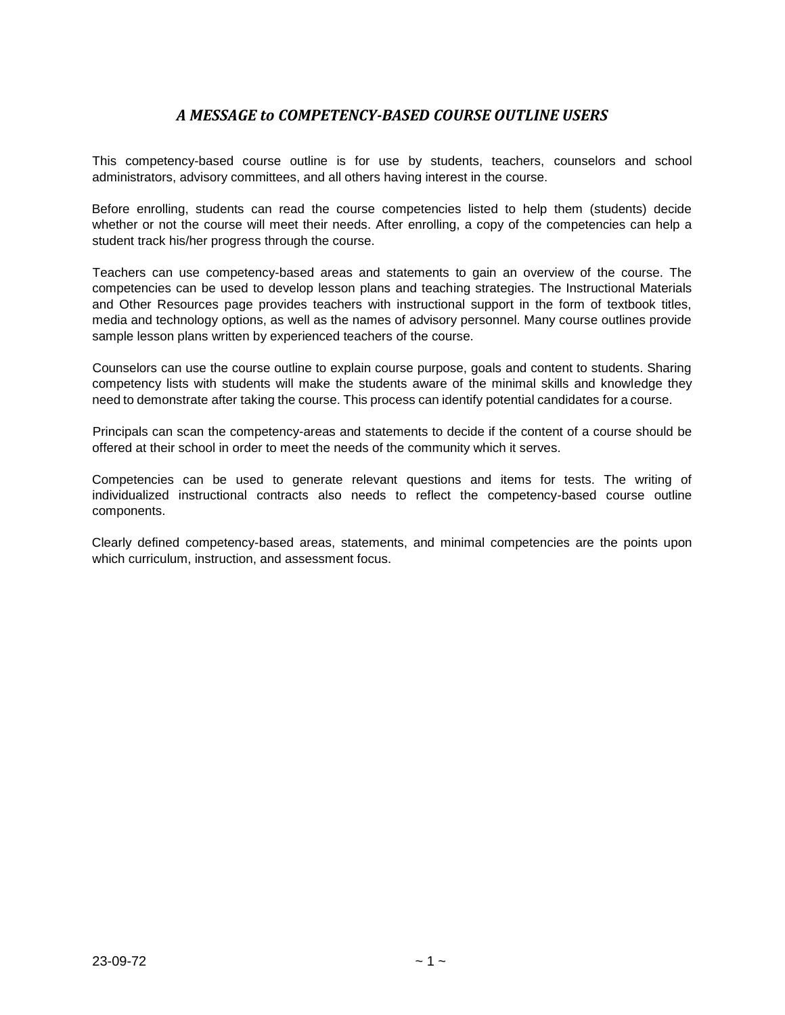## *A MESSAGE to COMPETENCY-BASED COURSE OUTLINE USERS*

This competency-based course outline is for use by students, teachers, counselors and school administrators, advisory committees, and all others having interest in the course.

Before enrolling, students can read the course competencies listed to help them (students) decide whether or not the course will meet their needs. After enrolling, a copy of the competencies can help a student track his/her progress through the course.

Teachers can use competency-based areas and statements to gain an overview of the course. The competencies can be used to develop lesson plans and teaching strategies. The Instructional Materials and Other Resources page provides teachers with instructional support in the form of textbook titles, media and technology options, as well as the names of advisory personnel. Many course outlines provide sample lesson plans written by experienced teachers of the course.

Counselors can use the course outline to explain course purpose, goals and content to students. Sharing competency lists with students will make the students aware of the minimal skills and knowledge they need to demonstrate after taking the course. This process can identify potential candidates for a course.

Principals can scan the competency-areas and statements to decide if the content of a course should be offered at their school in order to meet the needs of the community which it serves.

Competencies can be used to generate relevant questions and items for tests. The writing of individualized instructional contracts also needs to reflect the competency-based course outline components.

Clearly defined competency-based areas, statements, and minimal competencies are the points upon which curriculum, instruction, and assessment focus.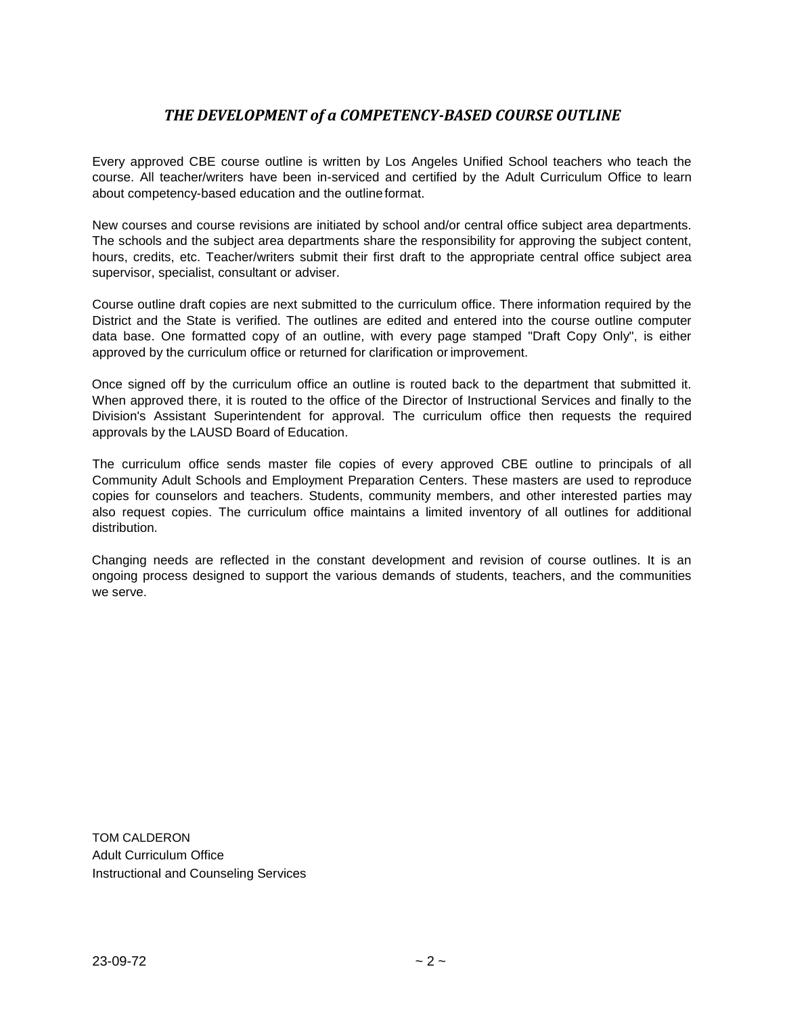## *THE DEVELOPMENT of a COMPETENCY-BASED COURSE OUTLINE*

Every approved CBE course outline is written by Los Angeles Unified School teachers who teach the course. All teacher/writers have been in-serviced and certified by the Adult Curriculum Office to learn about competency-based education and the outlineformat.

New courses and course revisions are initiated by school and/or central office subject area departments. The schools and the subject area departments share the responsibility for approving the subject content, hours, credits, etc. Teacher/writers submit their first draft to the appropriate central office subject area supervisor, specialist, consultant or adviser.

Course outline draft copies are next submitted to the curriculum office. There information required by the District and the State is verified. The outlines are edited and entered into the course outline computer data base. One formatted copy of an outline, with every page stamped "Draft Copy Only", is either approved by the curriculum office or returned for clarification or improvement.

Once signed off by the curriculum office an outline is routed back to the department that submitted it. When approved there, it is routed to the office of the Director of Instructional Services and finally to the Division's Assistant Superintendent for approval. The curriculum office then requests the required approvals by the LAUSD Board of Education.

The curriculum office sends master file copies of every approved CBE outline to principals of all Community Adult Schools and Employment Preparation Centers. These masters are used to reproduce copies for counselors and teachers. Students, community members, and other interested parties may also request copies. The curriculum office maintains a limited inventory of all outlines for additional distribution.

Changing needs are reflected in the constant development and revision of course outlines. It is an ongoing process designed to support the various demands of students, teachers, and the communities we serve.

TOM CALDERON Adult Curriculum Office Instructional and Counseling Services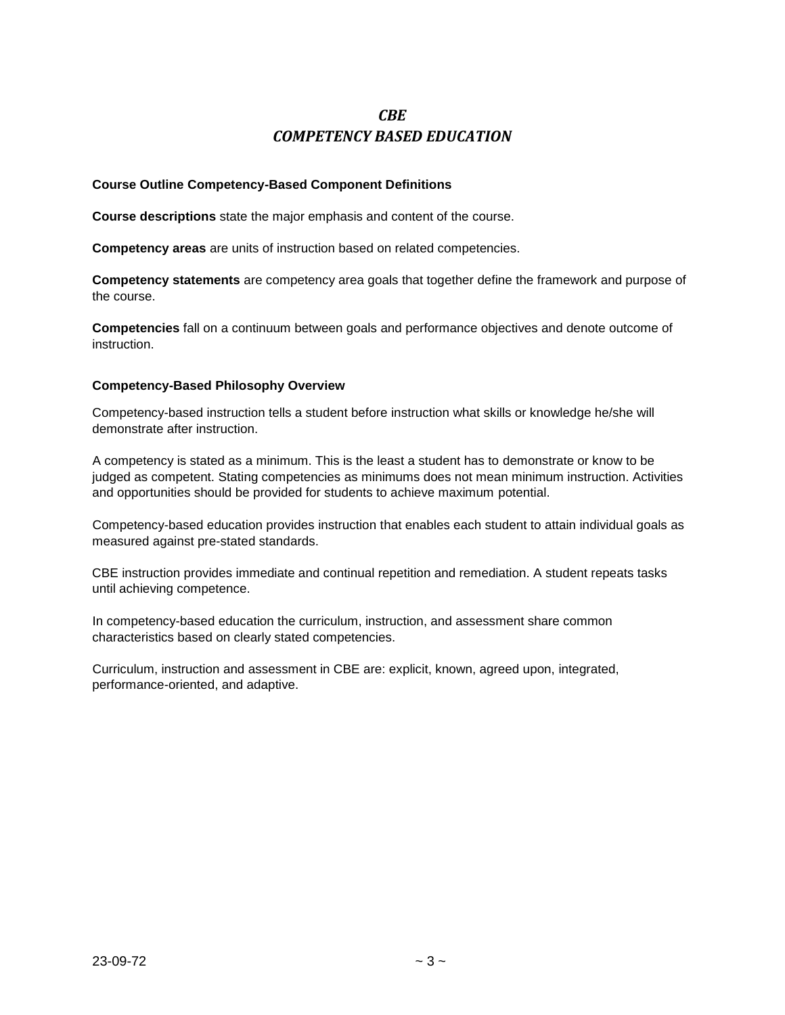## *CBE COMPETENCY BASED EDUCATION*

#### **Course Outline Competency-Based Component Definitions**

**Course descriptions** state the major emphasis and content of the course.

**Competency areas** are units of instruction based on related competencies.

**Competency statements** are competency area goals that together define the framework and purpose of the course.

**Competencies** fall on a continuum between goals and performance objectives and denote outcome of instruction.

#### **Competency-Based Philosophy Overview**

Competency-based instruction tells a student before instruction what skills or knowledge he/she will demonstrate after instruction.

A competency is stated as a minimum. This is the least a student has to demonstrate or know to be judged as competent. Stating competencies as minimums does not mean minimum instruction. Activities and opportunities should be provided for students to achieve maximum potential.

Competency-based education provides instruction that enables each student to attain individual goals as measured against pre-stated standards.

CBE instruction provides immediate and continual repetition and remediation. A student repeats tasks until achieving competence.

In competency-based education the curriculum, instruction, and assessment share common characteristics based on clearly stated competencies.

Curriculum, instruction and assessment in CBE are: explicit, known, agreed upon, integrated, performance-oriented, and adaptive.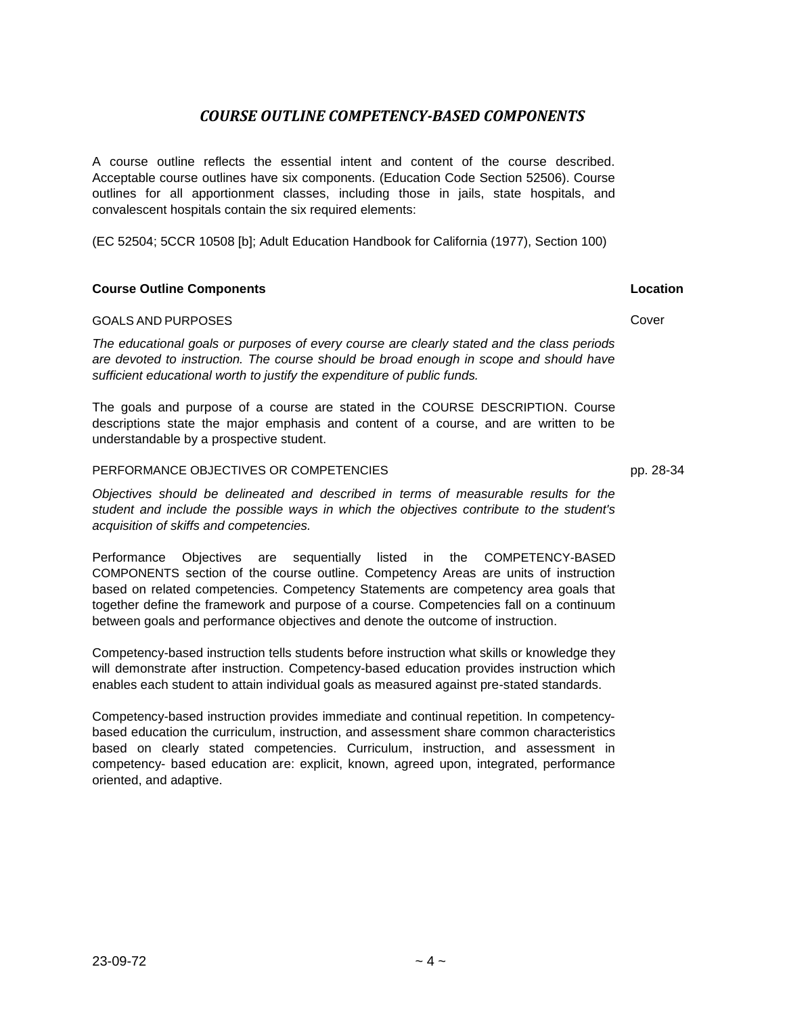## *COURSE OUTLINE COMPETENCY-BASED COMPONENTS*

A course outline reflects the essential intent and content of the course described. Acceptable course outlines have six components. (Education Code Section 52506). Course outlines for all apportionment classes, including those in jails, state hospitals, and convalescent hospitals contain the six required elements:

(EC 52504; 5CCR 10508 [b]; Adult Education Handbook for California (1977), Section 100)

#### **Course Outline Components**

#### GOALS AND PURPOSES

*The educational goals or purposes of every course are clearly stated and the class periods are devoted to instruction. The course should be broad enough in scope and should have sufficient educational worth to justify the expenditure of public funds.*

The goals and purpose of a course are stated in the COURSE DESCRIPTION. Course descriptions state the major emphasis and content of a course, and are written to be understandable by a prospective student.

#### PERFORMANCE OBJECTIVES OR COMPETENCIES

*Objectives should be delineated and described in terms of measurable results for the student and include the possible ways in which the objectives contribute to the student's acquisition of skiffs and competencies.*

Performance Objectives are sequentially listed in the COMPETENCY-BASED COMPONENTS section of the course outline. Competency Areas are units of instruction based on related competencies. Competency Statements are competency area goals that together define the framework and purpose of a course. Competencies fall on a continuum between goals and performance objectives and denote the outcome of instruction.

Competency-based instruction tells students before instruction what skills or knowledge they will demonstrate after instruction. Competency-based education provides instruction which enables each student to attain individual goals as measured against pre-stated standards.

Competency-based instruction provides immediate and continual repetition. In competencybased education the curriculum, instruction, and assessment share common characteristics based on clearly stated competencies. Curriculum, instruction, and assessment in competency- based education are: explicit, known, agreed upon, integrated, performance oriented, and adaptive.

pp. 28-34

**Location**

Cover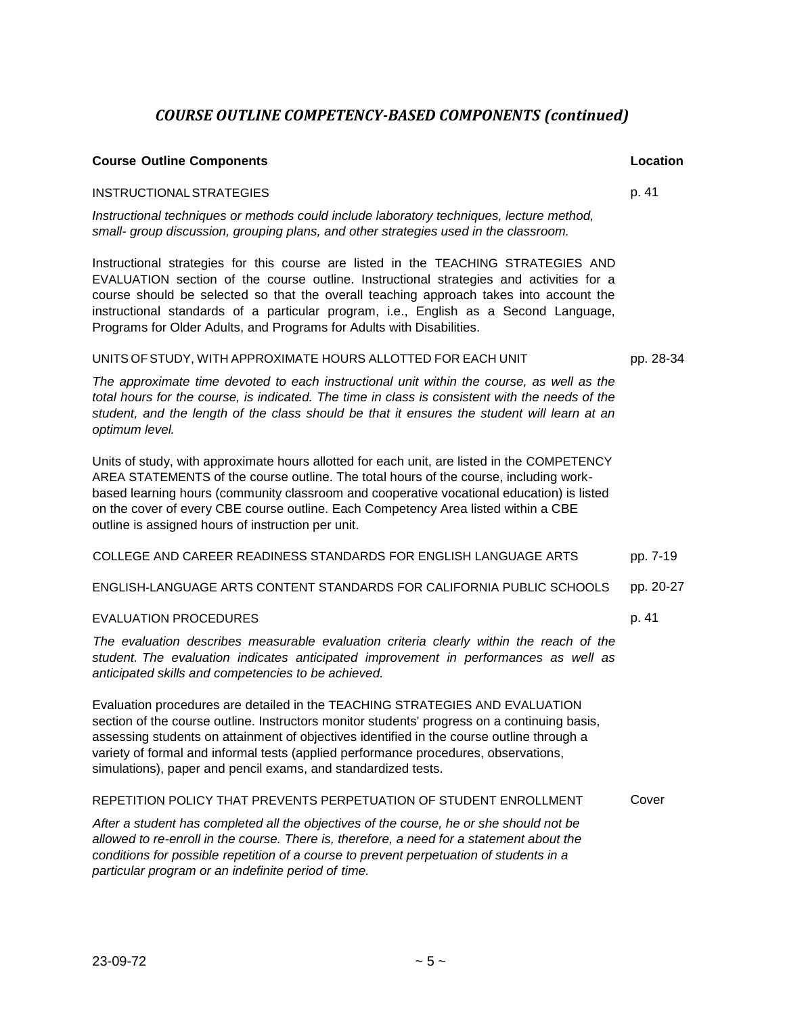## *COURSE OUTLINE COMPETENCY-BASED COMPONENTS (continued)*

#### **Course Outline Components**

#### INSTRUCTIONALSTRATEGIES

*Instructional techniques or methods could include laboratory techniques, lecture method, small- group discussion, grouping plans, and other strategies used in the classroom.*

Instructional strategies for this course are listed in the TEACHING STRATEGIES AND EVALUATION section of the course outline. Instructional strategies and activities for a course should be selected so that the overall teaching approach takes into account the instructional standards of a particular program, i.e., English as a Second Language, Programs for Older Adults, and Programs for Adults with Disabilities.

#### UNITS OFSTUDY, WITH APPROXIMATE HOURS ALLOTTED FOR EACH UNIT

*The approximate time devoted to each instructional unit within the course, as well as the total hours for the course, is indicated. The time in class is consistent with the needs of the student, and the length of the class should be that it ensures the student will learn at an optimum level.*

Units of study, with approximate hours allotted for each unit, are listed in the COMPETENCY AREA STATEMENTS of the course outline. The total hours of the course, including workbased learning hours (community classroom and cooperative vocational education) is listed on the cover of every CBE course outline. Each Competency Area listed within a CBE outline is assigned hours of instruction per unit.

#### COLLEGE AND CAREER READINESS STANDARDS FOR ENGLISH LANGUAGE ARTS pp. 7-19

ENGLISH-LANGUAGE ARTS CONTENT STANDARDS FOR CALIFORNIA PUBLIC SCHOOLS pp. 20-27

#### EVALUATION PROCEDURES

*The evaluation describes measurable evaluation criteria clearly within the reach of the student. The evaluation indicates anticipated improvement in performances as well as anticipated skills and competencies to be achieved.*

Evaluation procedures are detailed in the TEACHING STRATEGIES AND EVALUATION section of the course outline. Instructors monitor students' progress on a continuing basis, assessing students on attainment of objectives identified in the course outline through a variety of formal and informal tests (applied performance procedures, observations, simulations), paper and pencil exams, and standardized tests.

#### REPETITION POLICY THAT PREVENTS PERPETUATION OF STUDENT ENROLLMENT Cover

*After a student has completed all the objectives of the course, he or she should not be allowed to re-enroll in the course. There is, therefore, a need for a statement about the conditions for possible repetition of a course to prevent perpetuation of students in a particular program or an indefinite period of time.*

**Location**

pp. 28-34

p. 41

p. 41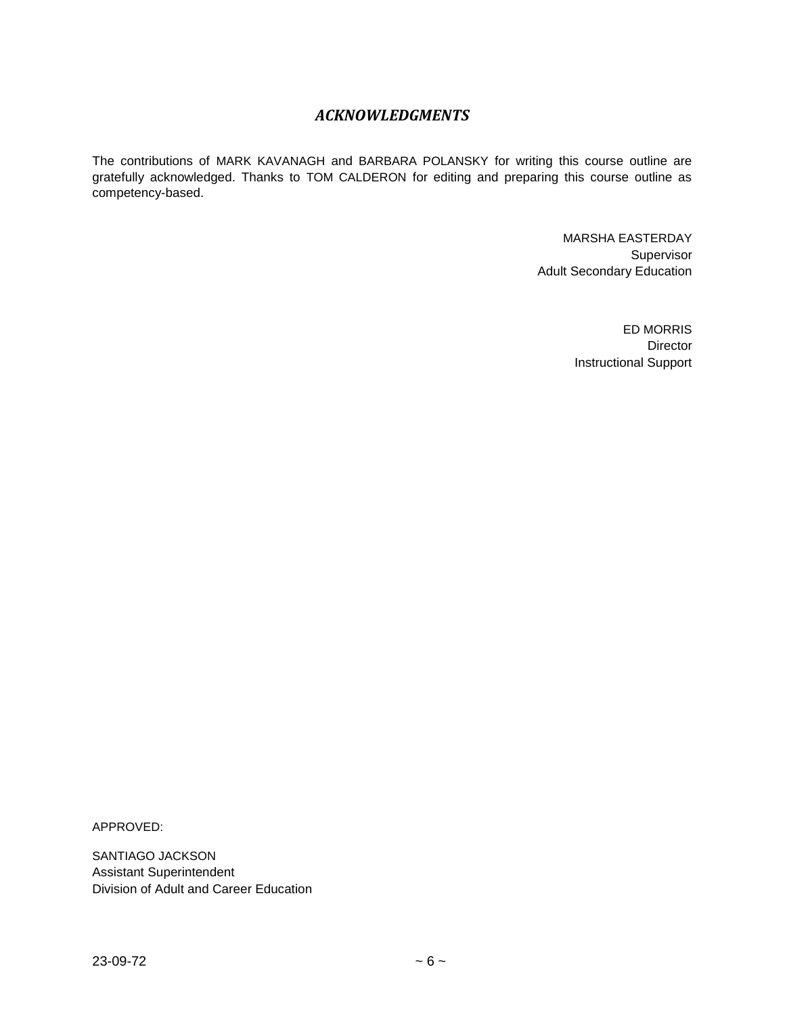## *ACKNOWLEDGMENTS*

The contributions of MARK KAVANAGH and BARBARA POLANSKY for writing this course outline are gratefully acknowledged. Thanks to TOM CALDERON for editing and preparing this course outline as competency-based.

> MARSHA EASTERDAY Supervisor Adult Secondary Education

> > ED MORRIS Director Instructional Support

APPROVED:

SANTIAGO JACKSON Assistant Superintendent Division of Adult and Career Education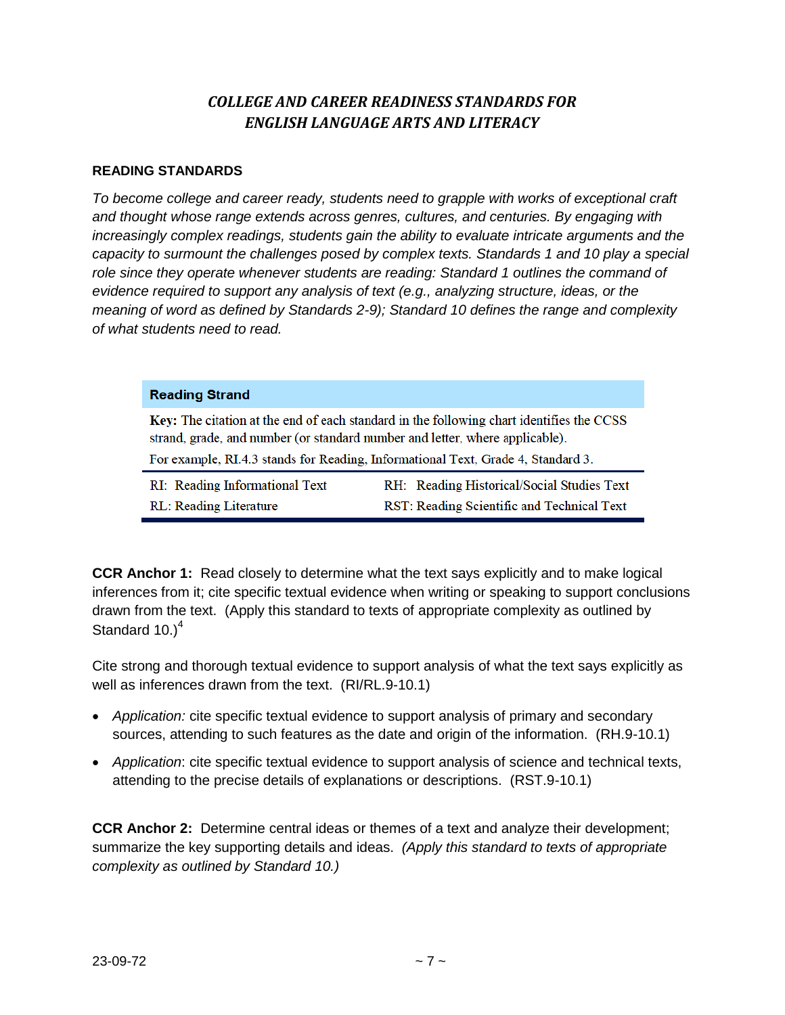#### **READING STANDARDS**

*To become college and career ready, students need to grapple with works of exceptional craft and thought whose range extends across genres, cultures, and centuries. By engaging with increasingly complex readings, students gain the ability to evaluate intricate arguments and the capacity to surmount the challenges posed by complex texts. Standards 1 and 10 play a special role since they operate whenever students are reading: Standard 1 outlines the command of evidence required to support any analysis of text (e.g., analyzing structure, ideas, or the meaning of word as defined by Standards 2-9); Standard 10 defines the range and complexity of what students need to read.* 

#### **Reading Strand**

Key: The citation at the end of each standard in the following chart identifies the CCSS strand, grade, and number (or standard number and letter, where applicable).

For example, RI.4.3 stands for Reading, Informational Text, Grade 4, Standard 3.

| RI: Reading Informational Text | RH: Reading Historical/Social Studies Text |
|--------------------------------|--------------------------------------------|
| <b>RL:</b> Reading Literature  | RST: Reading Scientific and Technical Text |

**CCR Anchor 1:** Read closely to determine what the text says explicitly and to make logical inferences from it; cite specific textual evidence when writing or speaking to support conclusions drawn from the text. (Apply this standard to texts of appropriate complexity as outlined by Standard  $10.1<sup>4</sup>$ 

Cite strong and thorough textual evidence to support analysis of what the text says explicitly as well as inferences drawn from the text. (RI/RL.9-10.1)

- *Application:* cite specific textual evidence to support analysis of primary and secondary sources, attending to such features as the date and origin of the information. (RH.9-10.1)
- *Application*: cite specific textual evidence to support analysis of science and technical texts, attending to the precise details of explanations or descriptions. (RST.9-10.1)

**CCR Anchor 2:** Determine central ideas or themes of a text and analyze their development; summarize the key supporting details and ideas. *(Apply this standard to texts of appropriate complexity as outlined by Standard 10.)*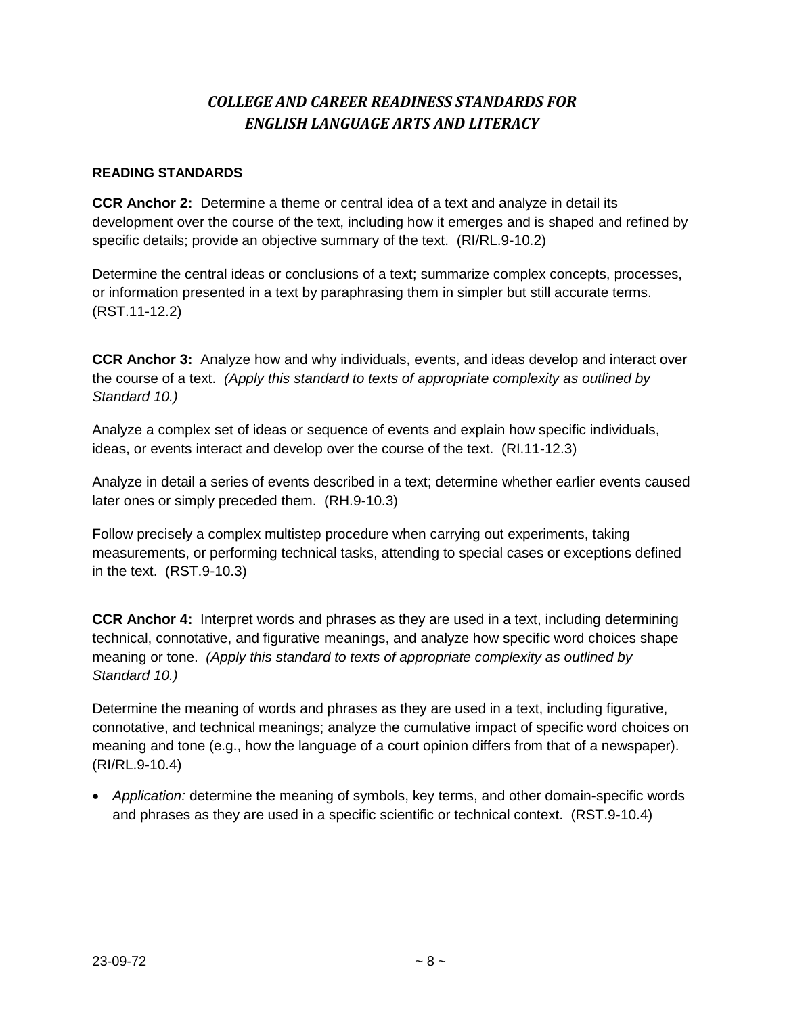## **READING STANDARDS**

**CCR Anchor 2:** Determine a theme or central idea of a text and analyze in detail its development over the course of the text, including how it emerges and is shaped and refined by specific details; provide an objective summary of the text. (RI/RL.9-10.2)

Determine the central ideas or conclusions of a text; summarize complex concepts, processes, or information presented in a text by paraphrasing them in simpler but still accurate terms. (RST.11-12.2)

**CCR Anchor 3:** Analyze how and why individuals, events, and ideas develop and interact over the course of a text. *(Apply this standard to texts of appropriate complexity as outlined by Standard 10.)*

Analyze a complex set of ideas or sequence of events and explain how specific individuals, ideas, or events interact and develop over the course of the text. (RI.11-12.3)

Analyze in detail a series of events described in a text; determine whether earlier events caused later ones or simply preceded them. (RH.9-10.3)

Follow precisely a complex multistep procedure when carrying out experiments, taking measurements, or performing technical tasks, attending to special cases or exceptions defined in the text. (RST.9-10.3)

**CCR Anchor 4:** Interpret words and phrases as they are used in a text, including determining technical, connotative, and figurative meanings, and analyze how specific word choices shape meaning or tone. *(Apply this standard to texts of appropriate complexity as outlined by Standard 10.)*

Determine the meaning of words and phrases as they are used in a text, including figurative, connotative, and technical meanings; analyze the cumulative impact of specific word choices on meaning and tone (e.g., how the language of a court opinion differs from that of a newspaper). (RI/RL.9-10.4)

 *Application:* determine the meaning of symbols, key terms, and other domain-specific words and phrases as they are used in a specific scientific or technical context. (RST.9-10.4)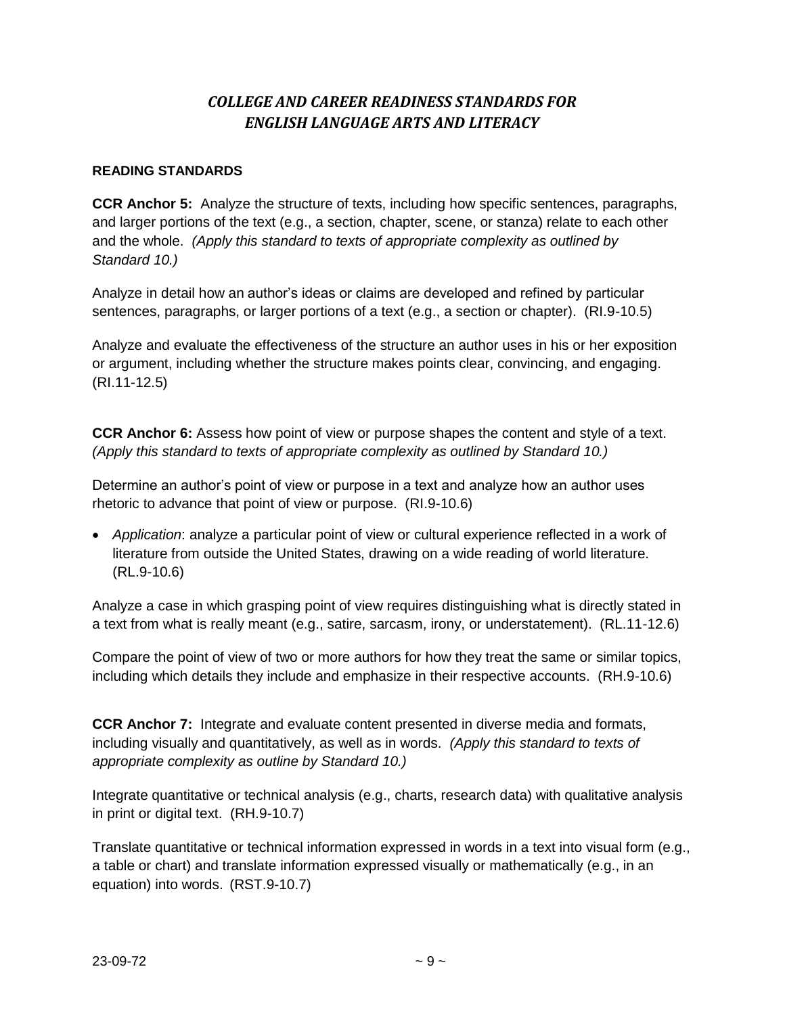#### **READING STANDARDS**

**CCR Anchor 5:** Analyze the structure of texts, including how specific sentences, paragraphs, and larger portions of the text (e.g., a section, chapter, scene, or stanza) relate to each other and the whole. *(Apply this standard to texts of appropriate complexity as outlined by Standard 10.)*

Analyze in detail how an author's ideas or claims are developed and refined by particular sentences, paragraphs, or larger portions of a text (e.g., a section or chapter). (RI.9-10.5)

Analyze and evaluate the effectiveness of the structure an author uses in his or her exposition or argument, including whether the structure makes points clear, convincing, and engaging. (RI.11-12.5)

**CCR Anchor 6:** Assess how point of view or purpose shapes the content and style of a text. *(Apply this standard to texts of appropriate complexity as outlined by Standard 10.)*

Determine an author's point of view or purpose in a text and analyze how an author uses rhetoric to advance that point of view or purpose. (RI.9-10.6)

 *Application*: analyze a particular point of view or cultural experience reflected in a work of literature from outside the United States, drawing on a wide reading of world literature. (RL.9-10.6)

Analyze a case in which grasping point of view requires distinguishing what is directly stated in a text from what is really meant (e.g., satire, sarcasm, irony, or understatement). (RL.11-12.6)

Compare the point of view of two or more authors for how they treat the same or similar topics, including which details they include and emphasize in their respective accounts. (RH.9-10.6)

**CCR Anchor 7:** Integrate and evaluate content presented in diverse media and formats, including visually and quantitatively, as well as in words. *(Apply this standard to texts of appropriate complexity as outline by Standard 10.)*

Integrate quantitative or technical analysis (e.g., charts, research data) with qualitative analysis in print or digital text. (RH.9-10.7)

Translate quantitative or technical information expressed in words in a text into visual form (e.g., a table or chart) and translate information expressed visually or mathematically (e.g., in an equation) into words. (RST.9-10.7)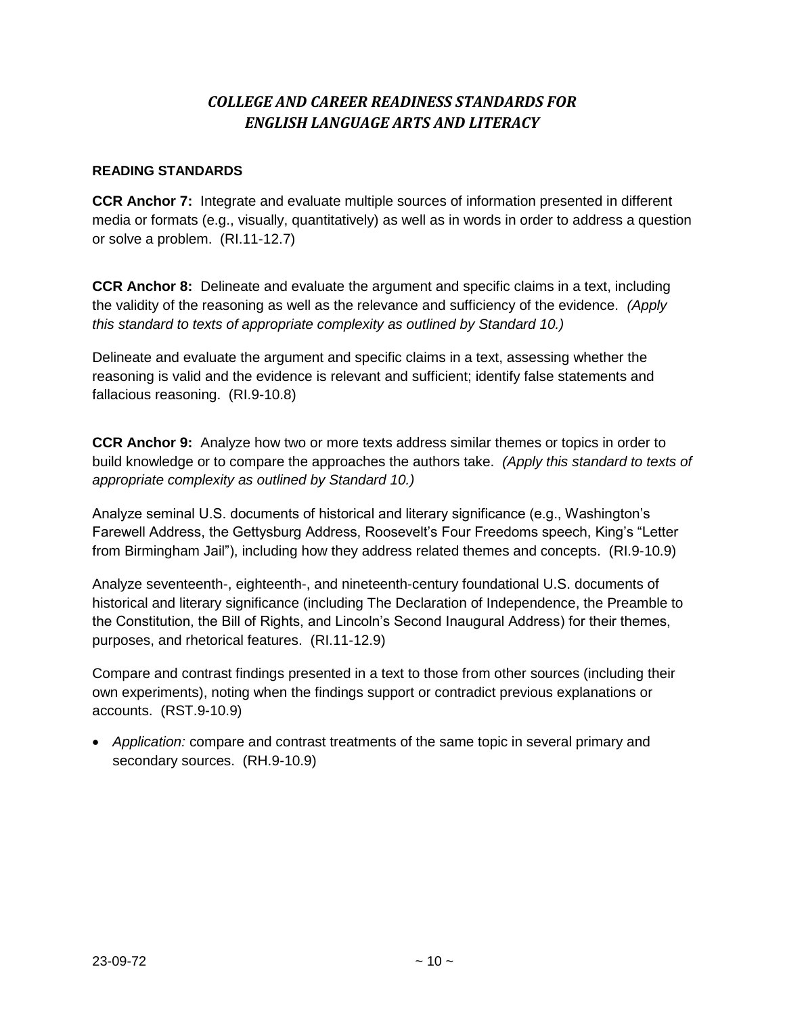#### **READING STANDARDS**

**CCR Anchor 7:** Integrate and evaluate multiple sources of information presented in different media or formats (e.g., visually, quantitatively) as well as in words in order to address a question or solve a problem. (RI.11-12.7)

**CCR Anchor 8:** Delineate and evaluate the argument and specific claims in a text, including the validity of the reasoning as well as the relevance and sufficiency of the evidence. *(Apply this standard to texts of appropriate complexity as outlined by Standard 10.)*

Delineate and evaluate the argument and specific claims in a text, assessing whether the reasoning is valid and the evidence is relevant and sufficient; identify false statements and fallacious reasoning. (RI.9-10.8)

**CCR Anchor 9:** Analyze how two or more texts address similar themes or topics in order to build knowledge or to compare the approaches the authors take. *(Apply this standard to texts of appropriate complexity as outlined by Standard 10.)*

Analyze seminal U.S. documents of historical and literary significance (e.g., Washington's Farewell Address, the Gettysburg Address, Roosevelt's Four Freedoms speech, King's "Letter from Birmingham Jail"), including how they address related themes and concepts. (RI.9-10.9)

Analyze seventeenth-, eighteenth-, and nineteenth-century foundational U.S. documents of historical and literary significance (including The Declaration of Independence, the Preamble to the Constitution, the Bill of Rights, and Lincoln's Second Inaugural Address) for their themes, purposes, and rhetorical features. (RI.11-12.9)

Compare and contrast findings presented in a text to those from other sources (including their own experiments), noting when the findings support or contradict previous explanations or accounts. (RST.9-10.9)

 *Application:* compare and contrast treatments of the same topic in several primary and secondary sources. (RH.9-10.9)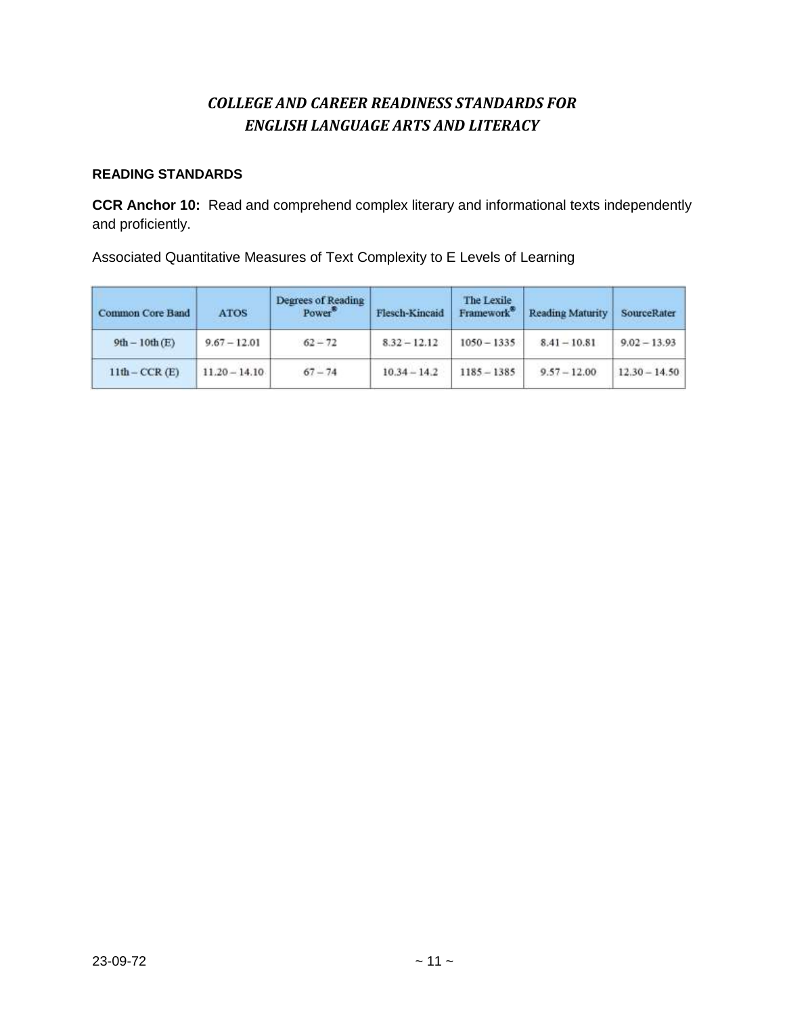#### **READING STANDARDS**

**CCR Anchor 10:** Read and comprehend complex literary and informational texts independently and proficiently.

Associated Quantitative Measures of Text Complexity to E Levels of Learning

| <b>Common Core Band</b> | <b>ATOS</b>     | Degrees of Reading<br>Power | Flesch-Kincaid | The Lexile<br>Framework <sup>*</sup> | <b>Reading Maturity</b> | SourceRater     |
|-------------------------|-----------------|-----------------------------|----------------|--------------------------------------|-------------------------|-----------------|
| $9th - 10th(E)$         | $9.67 - 12.01$  | $62 - 72$                   | $8.32 - 12.12$ | $1050 - 1335$                        | $8.41 - 10.81$          | $9.02 - 13.93$  |
| $11th$ – CCR $(E)$      | $11.20 - 14.10$ | $67 - 74$                   | $10.34 - 14.2$ | $1185 - 1385$                        | $9.57 - 12.00$          | $12.30 - 14.50$ |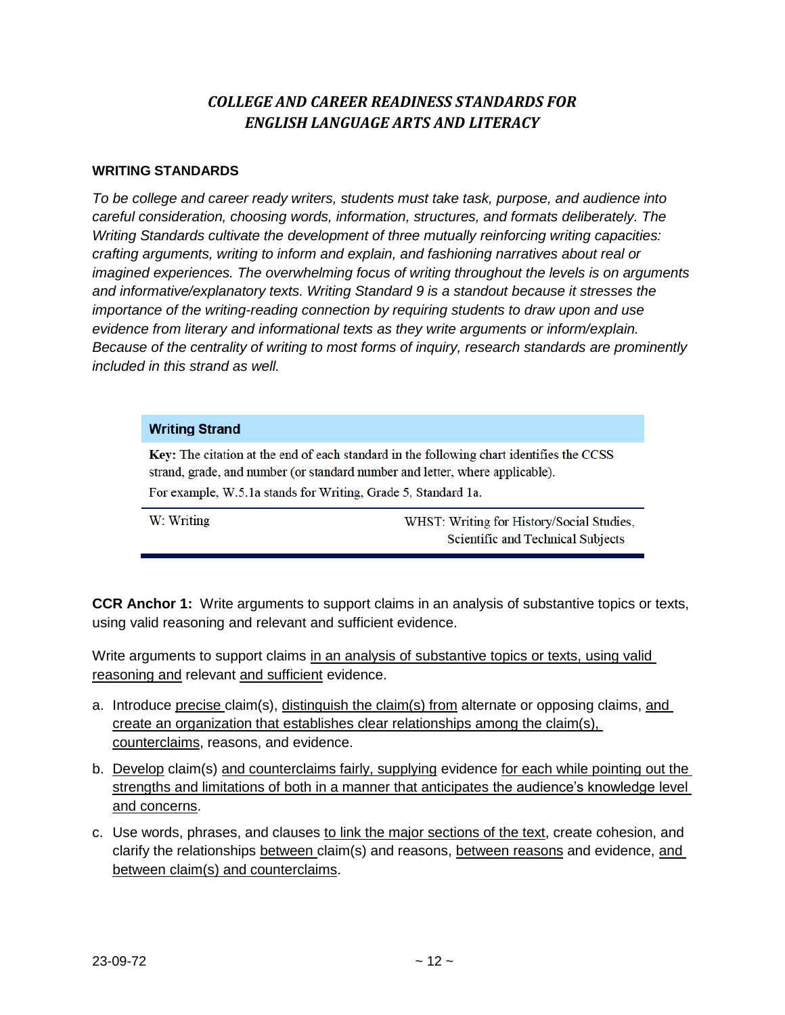#### **WRITING STANDARDS**

*To be college and career ready writers, students must take task, purpose, and audience into careful consideration, choosing words, information, structures, and formats deliberately. The Writing Standards cultivate the development of three mutually reinforcing writing capacities: crafting arguments, writing to inform and explain, and fashioning narratives about real or imagined experiences. The overwhelming focus of writing throughout the levels is on arguments and informative/explanatory texts. Writing Standard 9 is a standout because it stresses the importance of the writing-reading connection by requiring students to draw upon and use evidence from literary and informational texts as they write arguments or inform/explain. Because of the centrality of writing to most forms of inquiry, research standards are prominently included in this strand as well.*

#### **Writing Strand**

Key: The citation at the end of each standard in the following chart identifies the CCSS strand, grade, and number (or standard number and letter, where applicable).

For example, W.5.1a stands for Writing, Grade 5, Standard 1a.

W: Writing

WHST: Writing for History/Social Studies, Scientific and Technical Subjects

**CCR Anchor 1:** Write arguments to support claims in an analysis of substantive topics or texts, using valid reasoning and relevant and sufficient evidence.

Write arguments to support claims in an analysis of substantive topics or texts, using valid reasoning and relevant and sufficient evidence.

- a. Introduce precise claim(s), distinguish the claim(s) from alternate or opposing claims, and create an organization that establishes clear relationships among the claim(s), counterclaims, reasons, and evidence.
- b. Develop claim(s) and counterclaims fairly, supplying evidence for each while pointing out the strengths and limitations of both in a manner that anticipates the audience's knowledge level and concerns.
- c. Use words, phrases, and clauses to link the major sections of the text, create cohesion, and clarify the relationships between claim(s) and reasons, between reasons and evidence, and between claim(s) and counterclaims.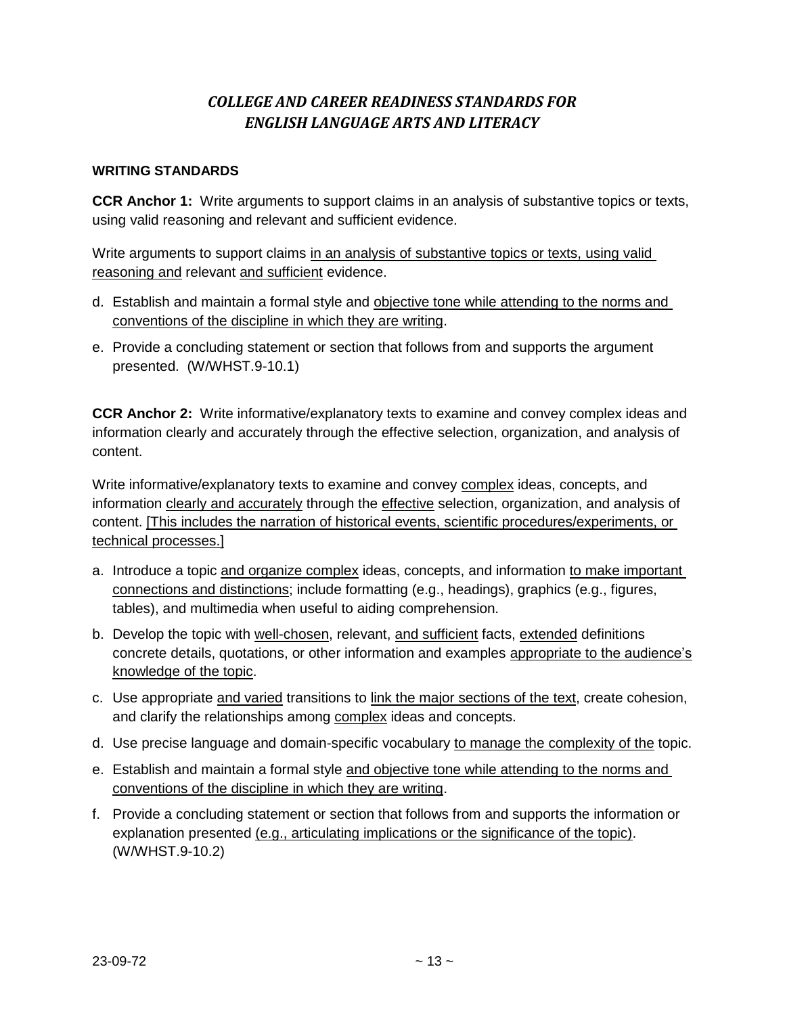#### **WRITING STANDARDS**

**CCR Anchor 1:** Write arguments to support claims in an analysis of substantive topics or texts, using valid reasoning and relevant and sufficient evidence.

Write arguments to support claims in an analysis of substantive topics or texts, using valid reasoning and relevant and sufficient evidence.

- d. Establish and maintain a formal style and objective tone while attending to the norms and conventions of the discipline in which they are writing.
- e. Provide a concluding statement or section that follows from and supports the argument presented. (W/WHST.9-10.1)

**CCR Anchor 2:** Write informative/explanatory texts to examine and convey complex ideas and information clearly and accurately through the effective selection, organization, and analysis of content.

Write informative/explanatory texts to examine and convey complex ideas, concepts, and information clearly and accurately through the effective selection, organization, and analysis of content. [This includes the narration of historical events, scientific procedures/experiments, or technical processes.]

- a. Introduce a topic and organize complex ideas, concepts, and information to make important connections and distinctions; include formatting (e.g., headings), graphics (e.g., figures, tables), and multimedia when useful to aiding comprehension.
- b. Develop the topic with well-chosen, relevant, and sufficient facts, extended definitions concrete details, quotations, or other information and examples appropriate to the audience's knowledge of the topic.
- c. Use appropriate and varied transitions to link the major sections of the text, create cohesion, and clarify the relationships among complex ideas and concepts.
- d. Use precise language and domain-specific vocabulary to manage the complexity of the topic.
- e. Establish and maintain a formal style and objective tone while attending to the norms and conventions of the discipline in which they are writing.
- f. Provide a concluding statement or section that follows from and supports the information or explanation presented (e.g., articulating implications or the significance of the topic). (W/WHST.9-10.2)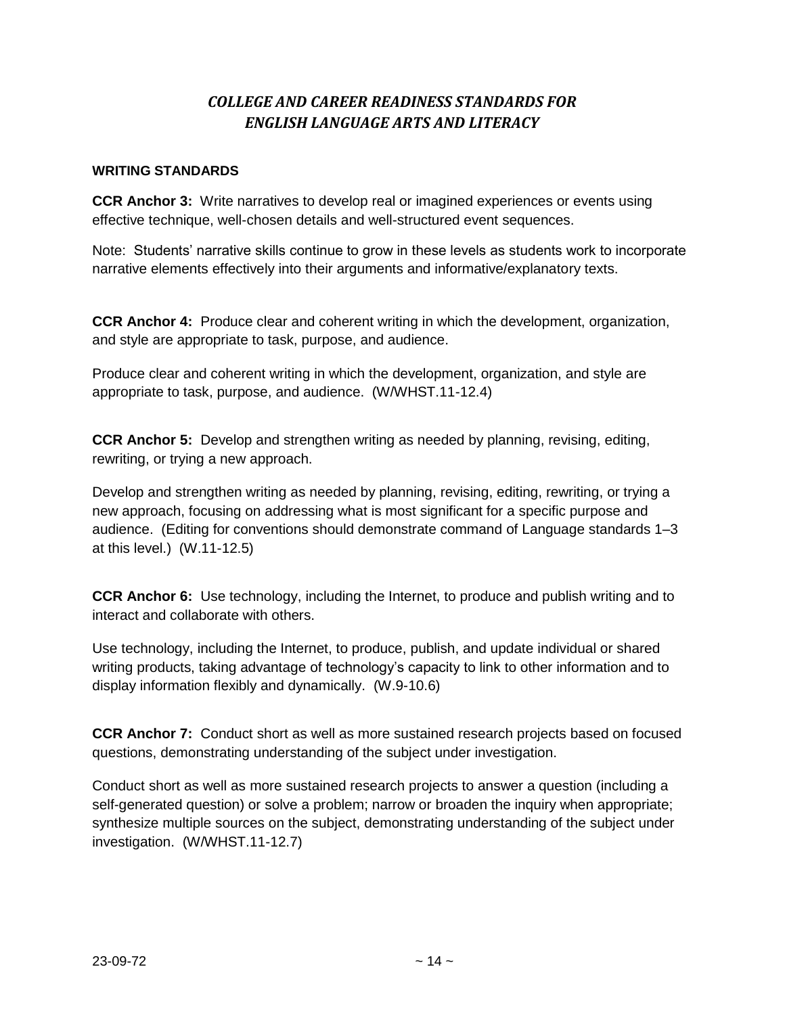#### **WRITING STANDARDS**

**CCR Anchor 3:** Write narratives to develop real or imagined experiences or events using effective technique, well-chosen details and well-structured event sequences.

Note: Students' narrative skills continue to grow in these levels as students work to incorporate narrative elements effectively into their arguments and informative/explanatory texts.

**CCR Anchor 4:** Produce clear and coherent writing in which the development, organization, and style are appropriate to task, purpose, and audience.

Produce clear and coherent writing in which the development, organization, and style are appropriate to task, purpose, and audience. (W/WHST.11-12.4)

**CCR Anchor 5:** Develop and strengthen writing as needed by planning, revising, editing, rewriting, or trying a new approach.

Develop and strengthen writing as needed by planning, revising, editing, rewriting, or trying a new approach, focusing on addressing what is most significant for a specific purpose and audience. (Editing for conventions should demonstrate command of Language standards 1–3 at this level.) (W.11-12.5)

**CCR Anchor 6:** Use technology, including the Internet, to produce and publish writing and to interact and collaborate with others.

Use technology, including the Internet, to produce, publish, and update individual or shared writing products, taking advantage of technology's capacity to link to other information and to display information flexibly and dynamically. (W.9-10.6)

**CCR Anchor 7:** Conduct short as well as more sustained research projects based on focused questions, demonstrating understanding of the subject under investigation.

Conduct short as well as more sustained research projects to answer a question (including a self-generated question) or solve a problem; narrow or broaden the inquiry when appropriate; synthesize multiple sources on the subject, demonstrating understanding of the subject under investigation. (W/WHST.11-12.7)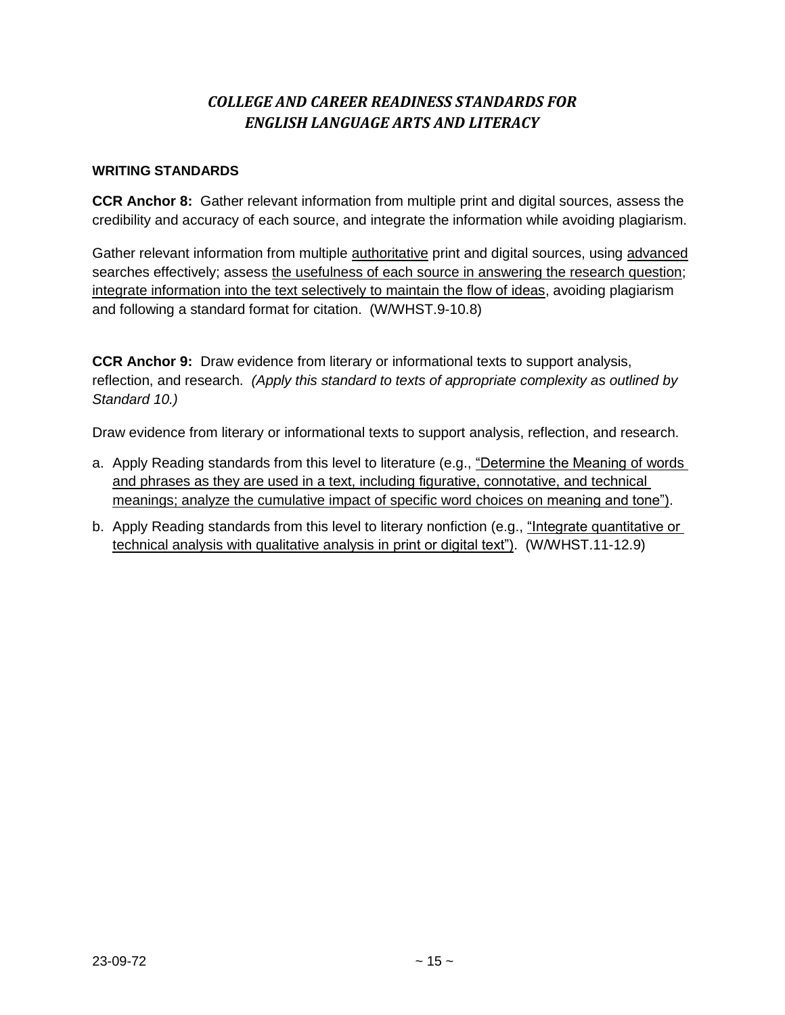#### **WRITING STANDARDS**

**CCR Anchor 8:** Gather relevant information from multiple print and digital sources, assess the credibility and accuracy of each source, and integrate the information while avoiding plagiarism.

Gather relevant information from multiple authoritative print and digital sources, using advanced searches effectively; assess the usefulness of each source in answering the research question; integrate information into the text selectively to maintain the flow of ideas, avoiding plagiarism and following a standard format for citation. (W/WHST.9-10.8)

**CCR Anchor 9:** Draw evidence from literary or informational texts to support analysis, reflection, and research. *(Apply this standard to texts of appropriate complexity as outlined by Standard 10.)* 

Draw evidence from literary or informational texts to support analysis, reflection, and research.

- a. Apply Reading standards from this level to literature (e.g., "Determine the Meaning of words and phrases as they are used in a text, including figurative, connotative, and technical meanings; analyze the cumulative impact of specific word choices on meaning and tone").
- b. Apply Reading standards from this level to literary nonfiction (e.g., "Integrate quantitative or technical analysis with qualitative analysis in print or digital text"). (W/WHST.11-12.9)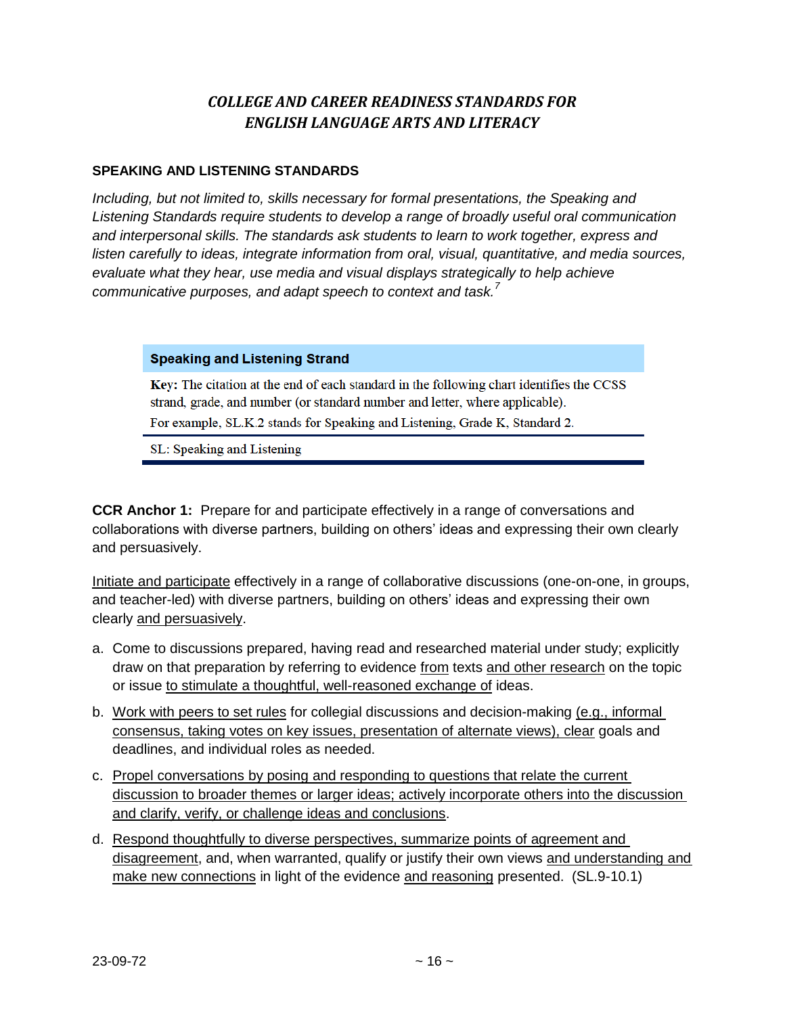#### **SPEAKING AND LISTENING STANDARDS**

*Including, but not limited to, skills necessary for formal presentations, the Speaking and Listening Standards require students to develop a range of broadly useful oral communication and interpersonal skills. The standards ask students to learn to work together, express and listen carefully to ideas, integrate information from oral, visual, quantitative, and media sources, evaluate what they hear, use media and visual displays strategically to help achieve communicative purposes, and adapt speech to context and task.<sup>7</sup>*

#### **Speaking and Listening Strand**

Key: The citation at the end of each standard in the following chart identifies the CCSS strand, grade, and number (or standard number and letter, where applicable).

For example, SL.K.2 stands for Speaking and Listening, Grade K, Standard 2.

SL: Speaking and Listening

**CCR Anchor 1:** Prepare for and participate effectively in a range of conversations and collaborations with diverse partners, building on others' ideas and expressing their own clearly and persuasively.

Initiate and participate effectively in a range of collaborative discussions (one-on-one, in groups, and teacher-led) with diverse partners, building on others' ideas and expressing their own clearly and persuasively.

- a. Come to discussions prepared, having read and researched material under study; explicitly draw on that preparation by referring to evidence from texts and other research on the topic or issue to stimulate a thoughtful, well-reasoned exchange of ideas.
- b. Work with peers to set rules for collegial discussions and decision-making (e.g., informal consensus, taking votes on key issues, presentation of alternate views), clear goals and deadlines, and individual roles as needed.
- c. Propel conversations by posing and responding to questions that relate the current discussion to broader themes or larger ideas; actively incorporate others into the discussion and clarify, verify, or challenge ideas and conclusions.
- d. Respond thoughtfully to diverse perspectives, summarize points of agreement and disagreement, and, when warranted, qualify or justify their own views and understanding and make new connections in light of the evidence and reasoning presented. (SL.9-10.1)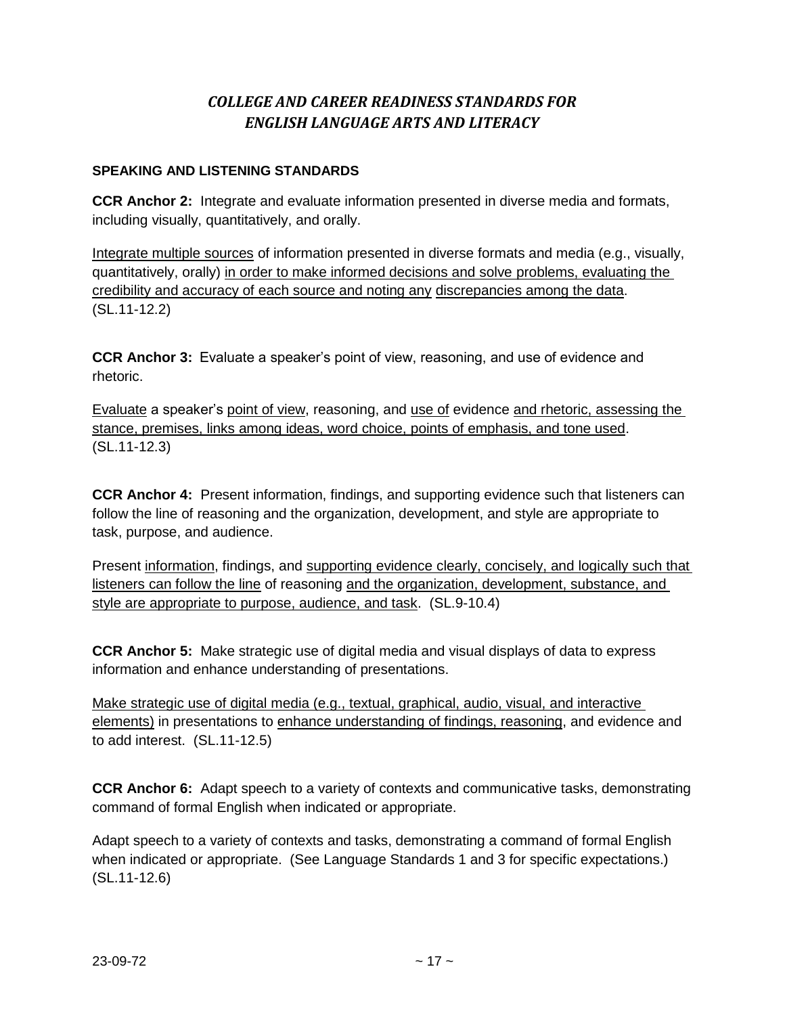#### **SPEAKING AND LISTENING STANDARDS**

**CCR Anchor 2:** Integrate and evaluate information presented in diverse media and formats, including visually, quantitatively, and orally.

Integrate multiple sources of information presented in diverse formats and media (e.g., visually, quantitatively, orally) in order to make informed decisions and solve problems, evaluating the credibility and accuracy of each source and noting any discrepancies among the data. (SL.11-12.2)

**CCR Anchor 3:** Evaluate a speaker's point of view, reasoning, and use of evidence and rhetoric.

Evaluate a speaker's point of view, reasoning, and use of evidence and rhetoric, assessing the stance, premises, links among ideas, word choice, points of emphasis, and tone used. (SL.11-12.3)

**CCR Anchor 4:** Present information, findings, and supporting evidence such that listeners can follow the line of reasoning and the organization, development, and style are appropriate to task, purpose, and audience.

Present information, findings, and supporting evidence clearly, concisely, and logically such that listeners can follow the line of reasoning and the organization, development, substance, and style are appropriate to purpose, audience, and task. (SL.9-10.4)

**CCR Anchor 5:** Make strategic use of digital media and visual displays of data to express information and enhance understanding of presentations.

Make strategic use of digital media (e.g., textual, graphical, audio, visual, and interactive elements) in presentations to enhance understanding of findings, reasoning, and evidence and to add interest. (SL.11-12.5)

**CCR Anchor 6:** Adapt speech to a variety of contexts and communicative tasks, demonstrating command of formal English when indicated or appropriate.

Adapt speech to a variety of contexts and tasks, demonstrating a command of formal English when indicated or appropriate. (See Language Standards 1 and 3 for specific expectations.) (SL.11-12.6)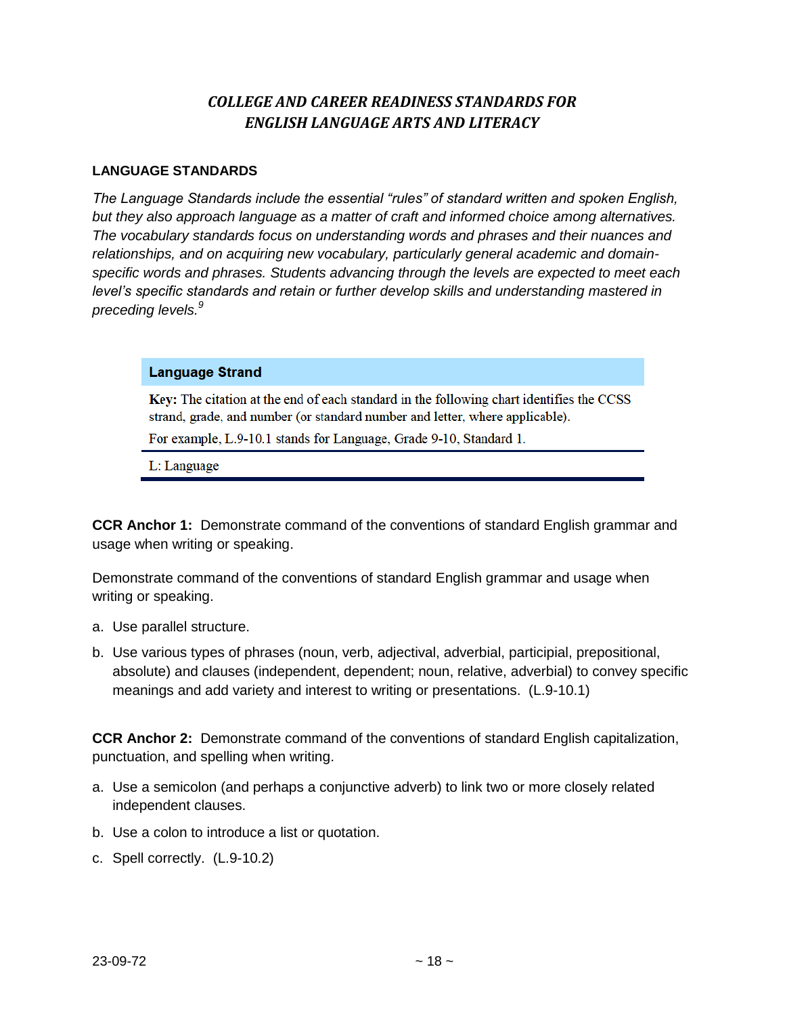#### **LANGUAGE STANDARDS**

*The Language Standards include the essential "rules" of standard written and spoken English, but they also approach language as a matter of craft and informed choice among alternatives. The vocabulary standards focus on understanding words and phrases and their nuances and relationships, and on acquiring new vocabulary, particularly general academic and domainspecific words and phrases. Students advancing through the levels are expected to meet each level's specific standards and retain or further develop skills and understanding mastered in preceding levels.<sup>9</sup>*

#### **Language Strand**

Key: The citation at the end of each standard in the following chart identifies the CCSS strand, grade, and number (or standard number and letter, where applicable).

For example, L.9-10.1 stands for Language, Grade 9-10, Standard 1.

L: Language

**CCR Anchor 1:** Demonstrate command of the conventions of standard English grammar and usage when writing or speaking.

Demonstrate command of the conventions of standard English grammar and usage when writing or speaking.

- a. Use parallel structure.
- b. Use various types of phrases (noun, verb, adjectival, adverbial, participial, prepositional, absolute) and clauses (independent, dependent; noun, relative, adverbial) to convey specific meanings and add variety and interest to writing or presentations. (L.9-10.1)

**CCR Anchor 2:** Demonstrate command of the conventions of standard English capitalization, punctuation, and spelling when writing.

- a. Use a semicolon (and perhaps a conjunctive adverb) to link two or more closely related independent clauses.
- b. Use a colon to introduce a list or quotation.
- c. Spell correctly. (L.9-10.2)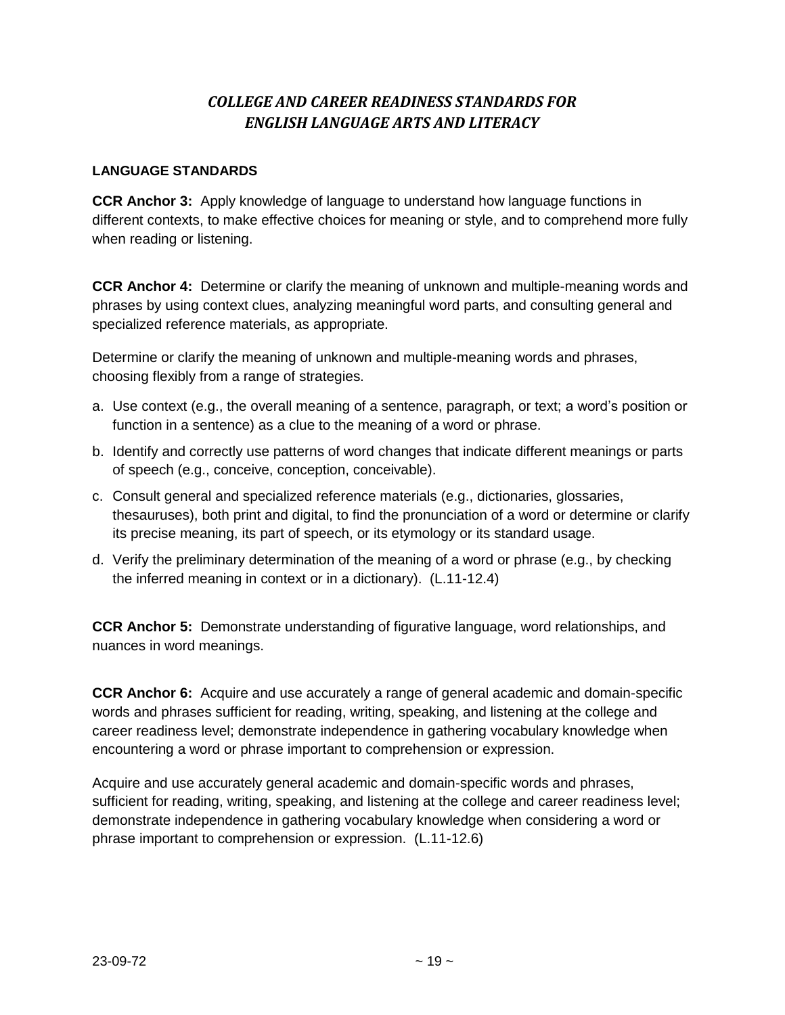#### **LANGUAGE STANDARDS**

**CCR Anchor 3:** Apply knowledge of language to understand how language functions in different contexts, to make effective choices for meaning or style, and to comprehend more fully when reading or listening.

**CCR Anchor 4:** Determine or clarify the meaning of unknown and multiple-meaning words and phrases by using context clues, analyzing meaningful word parts, and consulting general and specialized reference materials, as appropriate.

Determine or clarify the meaning of unknown and multiple-meaning words and phrases, choosing flexibly from a range of strategies.

- a. Use context (e.g., the overall meaning of a sentence, paragraph, or text; a word's position or function in a sentence) as a clue to the meaning of a word or phrase.
- b. Identify and correctly use patterns of word changes that indicate different meanings or parts of speech (e.g., conceive, conception, conceivable).
- c. Consult general and specialized reference materials (e.g., dictionaries, glossaries, thesauruses), both print and digital, to find the pronunciation of a word or determine or clarify its precise meaning, its part of speech, or its etymology or its standard usage.
- d. Verify the preliminary determination of the meaning of a word or phrase (e.g., by checking the inferred meaning in context or in a dictionary). (L.11-12.4)

**CCR Anchor 5:** Demonstrate understanding of figurative language, word relationships, and nuances in word meanings.

**CCR Anchor 6:** Acquire and use accurately a range of general academic and domain-specific words and phrases sufficient for reading, writing, speaking, and listening at the college and career readiness level; demonstrate independence in gathering vocabulary knowledge when encountering a word or phrase important to comprehension or expression.

Acquire and use accurately general academic and domain-specific words and phrases, sufficient for reading, writing, speaking, and listening at the college and career readiness level; demonstrate independence in gathering vocabulary knowledge when considering a word or phrase important to comprehension or expression. (L.11-12.6)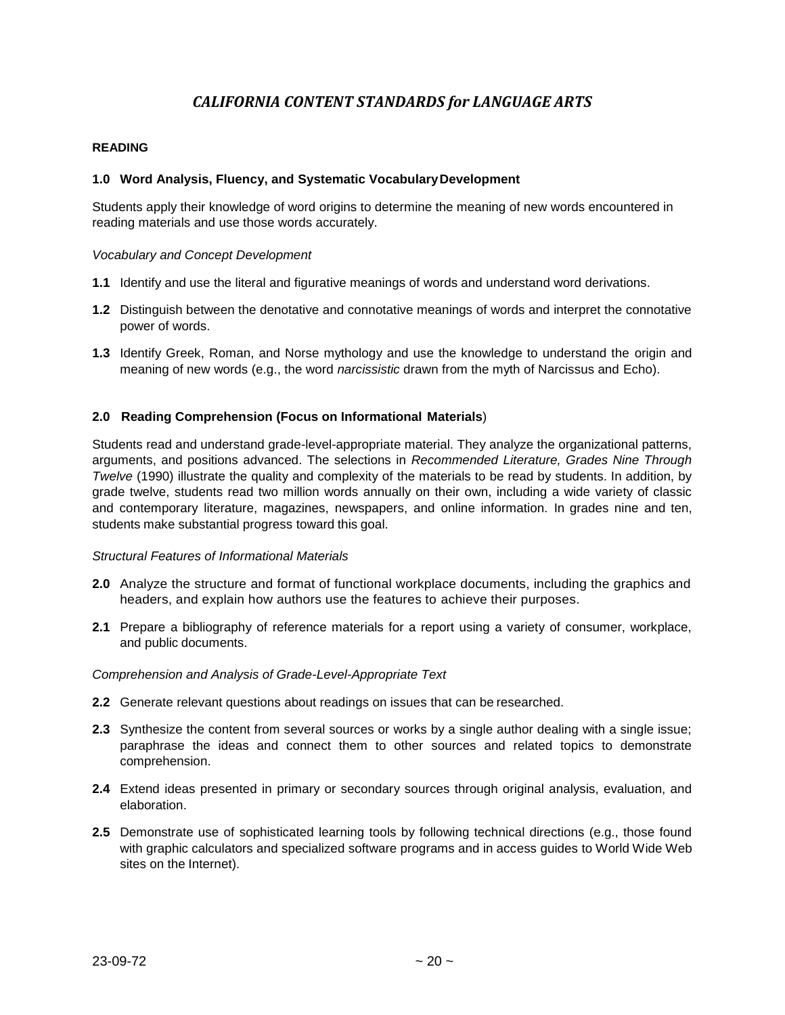## *CALIFORNIA CONTENT STANDARDS for LANGUAGE ARTS*

#### **READING**

#### **1.0 Word Analysis, Fluency, and Systematic VocabularyDevelopment**

Students apply their knowledge of word origins to determine the meaning of new words encountered in reading materials and use those words accurately.

#### *Vocabulary and Concept Development*

- **1.1** Identify and use the literal and figurative meanings of words and understand word derivations.
- **1.2** Distinguish between the denotative and connotative meanings of words and interpret the connotative power of words.
- **1.3** Identify Greek, Roman, and Norse mythology and use the knowledge to understand the origin and meaning of new words (e.g., the word *narcissistic* drawn from the myth of Narcissus and Echo).

#### **2.0 Reading Comprehension (Focus on Informational Materials**)

Students read and understand grade-level-appropriate material. They analyze the organizational patterns, arguments, and positions advanced. The selections in *Recommended Literature, Grades Nine Through Twelve* (1990) illustrate the quality and complexity of the materials to be read by students. In addition, by grade twelve, students read two million words annually on their own, including a wide variety of classic and contemporary literature, magazines, newspapers, and online information. In grades nine and ten, students make substantial progress toward this goal.

#### *Structural Features of Informational Materials*

- **2.0** Analyze the structure and format of functional workplace documents, including the graphics and headers, and explain how authors use the features to achieve their purposes.
- **2.1** Prepare a bibliography of reference materials for a report using a variety of consumer, workplace, and public documents.

#### *Comprehension and Analysis of Grade-Level-Appropriate Text*

- **2.2** Generate relevant questions about readings on issues that can be researched.
- **2.3** Synthesize the content from several sources or works by a single author dealing with a single issue; paraphrase the ideas and connect them to other sources and related topics to demonstrate comprehension.
- **2.4** Extend ideas presented in primary or secondary sources through original analysis, evaluation, and elaboration.
- **2.5** Demonstrate use of sophisticated learning tools by following technical directions (e.g., those found with graphic calculators and specialized software programs and in access guides to World Wide Web sites on the Internet).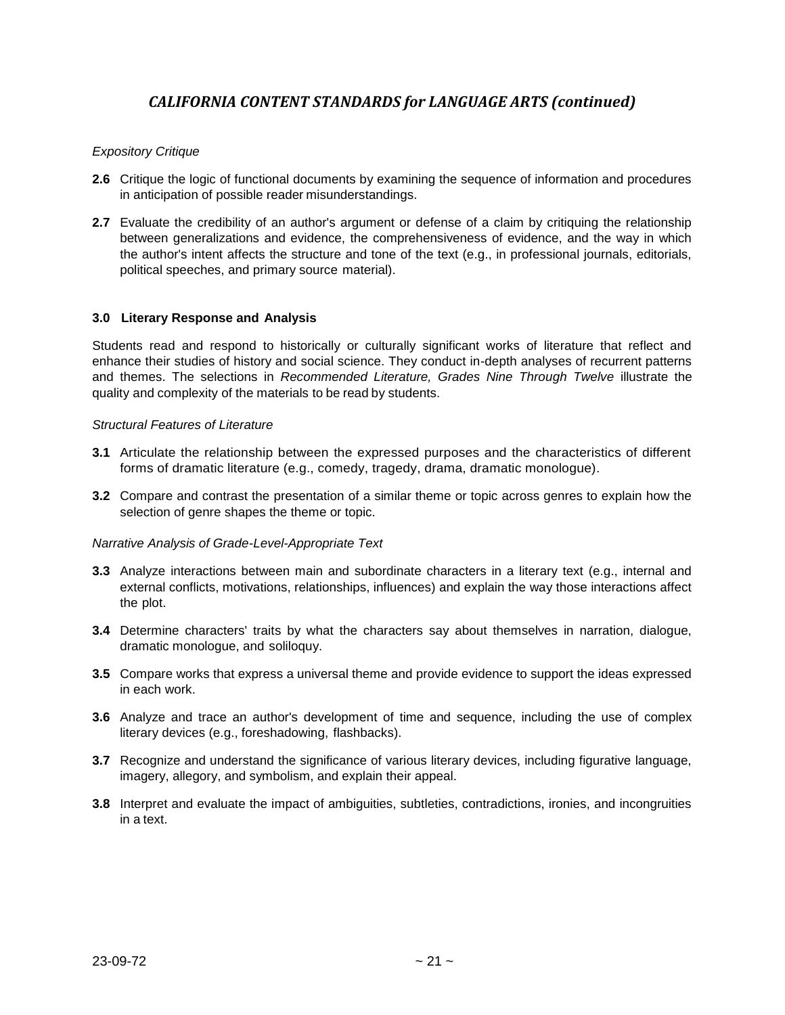#### *Expository Critique*

- **2.6** Critique the logic of functional documents by examining the sequence of information and procedures in anticipation of possible reader misunderstandings.
- **2.7** Evaluate the credibility of an author's argument or defense of a claim by critiquing the relationship between generalizations and evidence, the comprehensiveness of evidence, and the way in which the author's intent affects the structure and tone of the text (e.g., in professional journals, editorials, political speeches, and primary source material).

#### **3.0 Literary Response and Analysis**

Students read and respond to historically or culturally significant works of literature that reflect and enhance their studies of history and social science. They conduct in-depth analyses of recurrent patterns and themes. The selections in *Recommended Literature, Grades Nine Through Twelve* illustrate the quality and complexity of the materials to be read by students.

#### *Structural Features of Literature*

- **3.1** Articulate the relationship between the expressed purposes and the characteristics of different forms of dramatic literature (e.g., comedy, tragedy, drama, dramatic monologue).
- **3.2** Compare and contrast the presentation of a similar theme or topic across genres to explain how the selection of genre shapes the theme or topic.

#### *Narrative Analysis of Grade-Level-Appropriate Text*

- **3.3** Analyze interactions between main and subordinate characters in a literary text (e.g., internal and external conflicts, motivations, relationships, influences) and explain the way those interactions affect the plot.
- **3.4** Determine characters' traits by what the characters say about themselves in narration, dialogue, dramatic monologue, and soliloquy.
- **3.5** Compare works that express a universal theme and provide evidence to support the ideas expressed in each work.
- **3.6** Analyze and trace an author's development of time and sequence, including the use of complex literary devices (e.g., foreshadowing, flashbacks).
- **3.7** Recognize and understand the significance of various literary devices, including figurative language, imagery, allegory, and symbolism, and explain their appeal.
- **3.8** Interpret and evaluate the impact of ambiguities, subtleties, contradictions, ironies, and incongruities in a text.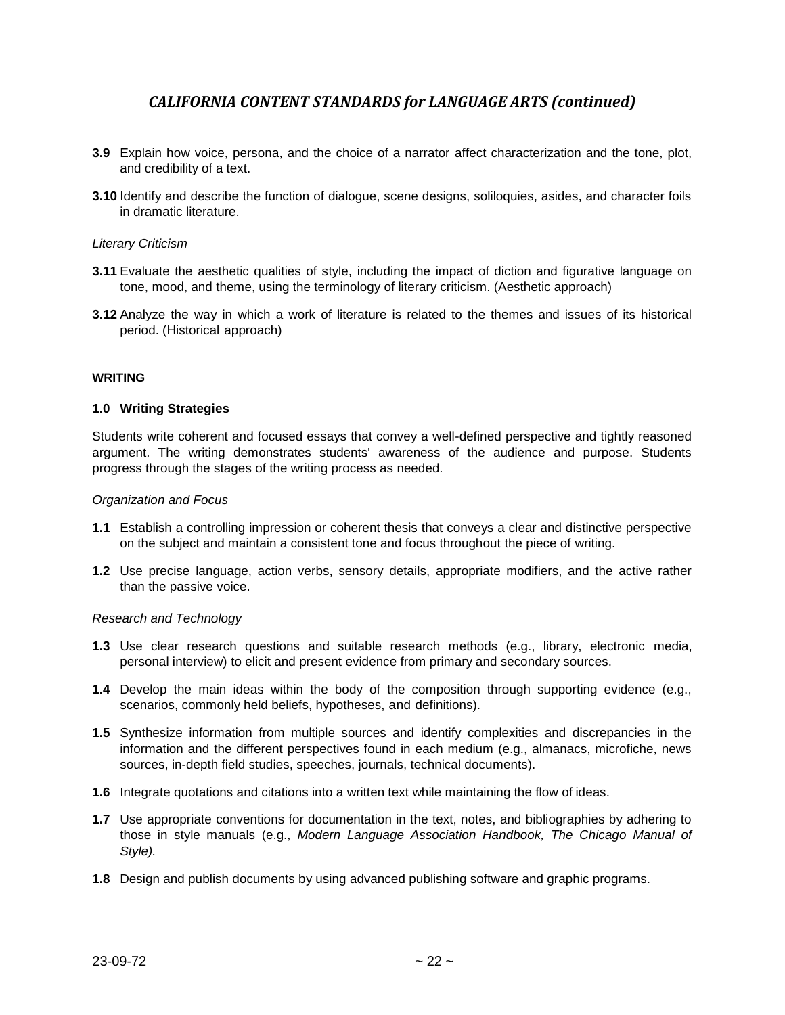- **3.9** Explain how voice, persona, and the choice of a narrator affect characterization and the tone, plot, and credibility of a text.
- **3.10** Identify and describe the function of dialogue, scene designs, soliloquies, asides, and character foils in dramatic literature.

#### *Literary Criticism*

- **3.11** Evaluate the aesthetic qualities of style, including the impact of diction and figurative language on tone, mood, and theme, using the terminology of literary criticism. (Aesthetic approach)
- **3.12** Analyze the way in which a work of literature is related to the themes and issues of its historical period. (Historical approach)

#### **WRITING**

#### **1.0 Writing Strategies**

Students write coherent and focused essays that convey a well-defined perspective and tightly reasoned argument. The writing demonstrates students' awareness of the audience and purpose. Students progress through the stages of the writing process as needed.

#### *Organization and Focus*

- **1.1** Establish a controlling impression or coherent thesis that conveys a clear and distinctive perspective on the subject and maintain a consistent tone and focus throughout the piece of writing.
- **1.2** Use precise language, action verbs, sensory details, appropriate modifiers, and the active rather than the passive voice.

#### *Research and Technology*

- **1.3** Use clear research questions and suitable research methods (e.g., library, electronic media, personal interview) to elicit and present evidence from primary and secondary sources.
- **1.4** Develop the main ideas within the body of the composition through supporting evidence (e.g., scenarios, commonly held beliefs, hypotheses, and definitions).
- **1.5** Synthesize information from multiple sources and identify complexities and discrepancies in the information and the different perspectives found in each medium (e.g., almanacs, microfiche, news sources, in-depth field studies, speeches, journals, technical documents).
- **1.6** Integrate quotations and citations into a written text while maintaining the flow of ideas.
- **1.7** Use appropriate conventions for documentation in the text, notes, and bibliographies by adhering to those in style manuals (e.g., *Modern Language Association Handbook, The Chicago Manual of Style).*
- **1.8** Design and publish documents by using advanced publishing software and graphic programs.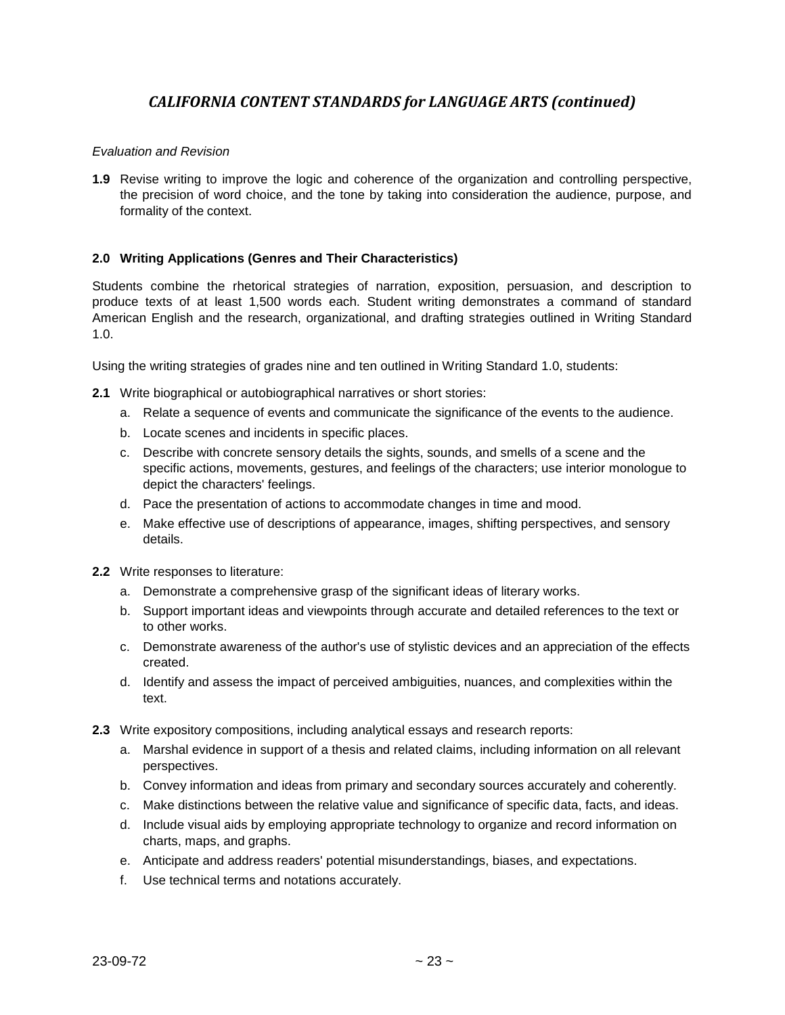#### *Evaluation and Revision*

**1.9** Revise writing to improve the logic and coherence of the organization and controlling perspective, the precision of word choice, and the tone by taking into consideration the audience, purpose, and formality of the context.

#### **2.0 Writing Applications (Genres and Their Characteristics)**

Students combine the rhetorical strategies of narration, exposition, persuasion, and description to produce texts of at least 1,500 words each. Student writing demonstrates a command of standard American English and the research, organizational, and drafting strategies outlined in Writing Standard 1.0.

Using the writing strategies of grades nine and ten outlined in Writing Standard 1.0, students:

**2.1** Write biographical or autobiographical narratives or short stories:

- a. Relate a sequence of events and communicate the significance of the events to the audience.
- b. Locate scenes and incidents in specific places.
- c. Describe with concrete sensory details the sights, sounds, and smells of a scene and the specific actions, movements, gestures, and feelings of the characters; use interior monologue to depict the characters' feelings.
- d. Pace the presentation of actions to accommodate changes in time and mood.
- e. Make effective use of descriptions of appearance, images, shifting perspectives, and sensory details.
- **2.2** Write responses to literature:
	- a. Demonstrate a comprehensive grasp of the significant ideas of literary works.
	- b. Support important ideas and viewpoints through accurate and detailed references to the text or to other works.
	- c. Demonstrate awareness of the author's use of stylistic devices and an appreciation of the effects created.
	- d. Identify and assess the impact of perceived ambiguities, nuances, and complexities within the text.
- **2.3** Write expository compositions, including analytical essays and research reports:
	- a. Marshal evidence in support of a thesis and related claims, including information on all relevant perspectives.
	- b. Convey information and ideas from primary and secondary sources accurately and coherently.
	- c. Make distinctions between the relative value and significance of specific data, facts, and ideas.
	- d. Include visual aids by employing appropriate technology to organize and record information on charts, maps, and graphs.
	- e. Anticipate and address readers' potential misunderstandings, biases, and expectations.
	- f. Use technical terms and notations accurately.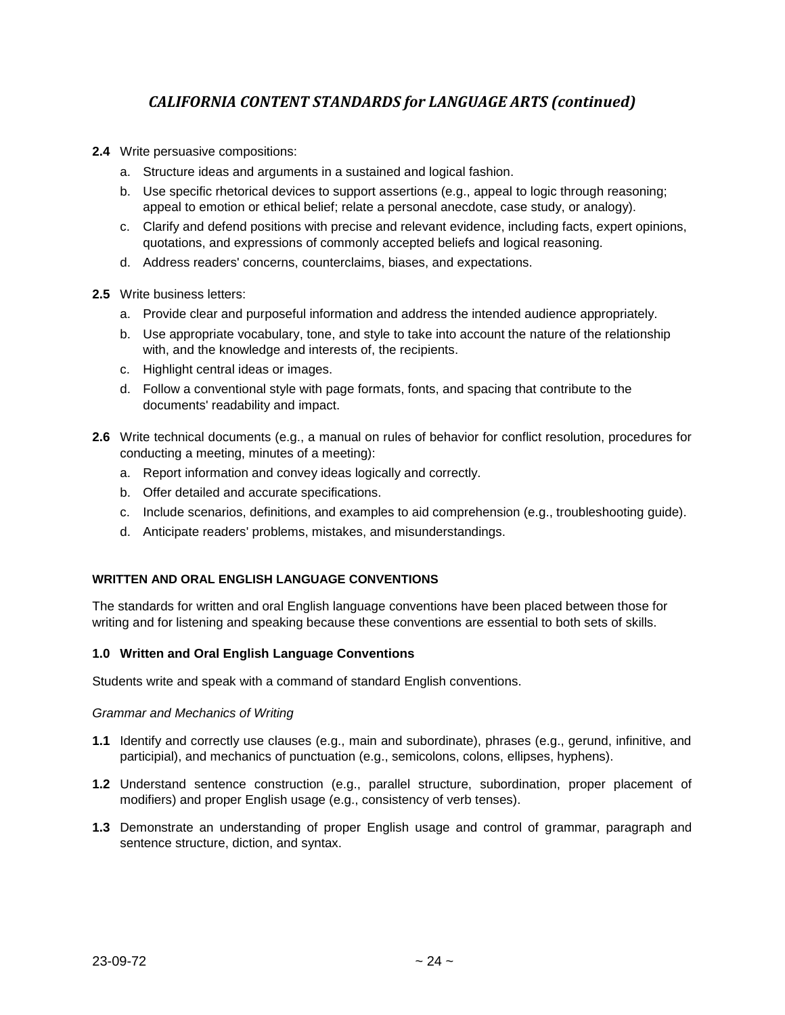- **2.4** Write persuasive compositions:
	- a. Structure ideas and arguments in a sustained and logical fashion.
	- b. Use specific rhetorical devices to support assertions (e.g., appeal to logic through reasoning; appeal to emotion or ethical belief; relate a personal anecdote, case study, or analogy).
	- c. Clarify and defend positions with precise and relevant evidence, including facts, expert opinions, quotations, and expressions of commonly accepted beliefs and logical reasoning.
	- d. Address readers' concerns, counterclaims, biases, and expectations.
- **2.5** Write business letters:
	- a. Provide clear and purposeful information and address the intended audience appropriately.
	- b. Use appropriate vocabulary, tone, and style to take into account the nature of the relationship with, and the knowledge and interests of, the recipients.
	- c. Highlight central ideas or images.
	- d. Follow a conventional style with page formats, fonts, and spacing that contribute to the documents' readability and impact.
- **2.6** Write technical documents (e.g., a manual on rules of behavior for conflict resolution, procedures for conducting a meeting, minutes of a meeting):
	- a. Report information and convey ideas logically and correctly.
	- b. Offer detailed and accurate specifications.
	- c. Include scenarios, definitions, and examples to aid comprehension (e.g., troubleshooting guide).
	- d. Anticipate readers' problems, mistakes, and misunderstandings.

#### **WRITTEN AND ORAL ENGLISH LANGUAGE CONVENTIONS**

The standards for written and oral English language conventions have been placed between those for writing and for listening and speaking because these conventions are essential to both sets of skills.

#### **1.0 Written and Oral English Language Conventions**

Students write and speak with a command of standard English conventions.

#### *Grammar and Mechanics of Writing*

- **1.1** Identify and correctly use clauses (e.g., main and subordinate), phrases (e.g., gerund, infinitive, and participial), and mechanics of punctuation (e.g., semicolons, colons, ellipses, hyphens).
- **1.2** Understand sentence construction (e.g., parallel structure, subordination, proper placement of modifiers) and proper English usage (e.g., consistency of verb tenses).
- **1.3** Demonstrate an understanding of proper English usage and control of grammar, paragraph and sentence structure, diction, and syntax.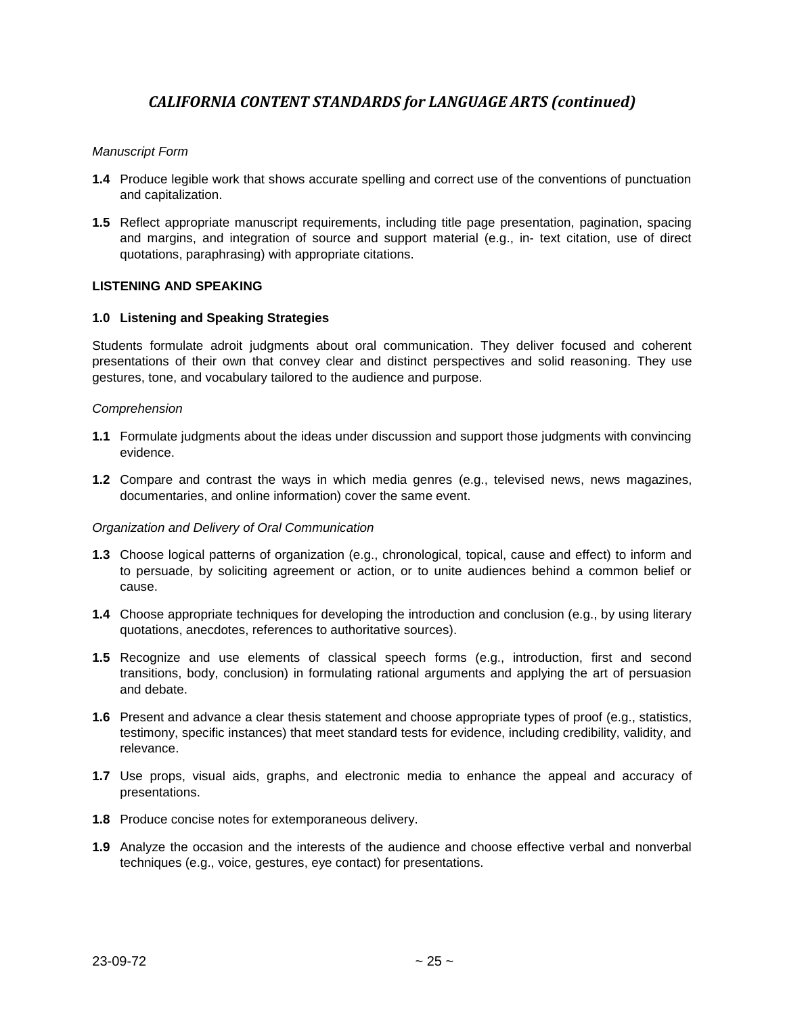#### *Manuscript Form*

- **1.4** Produce legible work that shows accurate spelling and correct use of the conventions of punctuation and capitalization.
- **1.5** Reflect appropriate manuscript requirements, including title page presentation, pagination, spacing and margins, and integration of source and support material (e.g., in- text citation, use of direct quotations, paraphrasing) with appropriate citations.

#### **LISTENING AND SPEAKING**

#### **1.0 Listening and Speaking Strategies**

Students formulate adroit judgments about oral communication. They deliver focused and coherent presentations of their own that convey clear and distinct perspectives and solid reasoning. They use gestures, tone, and vocabulary tailored to the audience and purpose.

#### *Comprehension*

- **1.1** Formulate judgments about the ideas under discussion and support those judgments with convincing evidence.
- **1.2** Compare and contrast the ways in which media genres (e.g., televised news, news magazines, documentaries, and online information) cover the same event.

#### *Organization and Delivery of Oral Communication*

- **1.3** Choose logical patterns of organization (e.g., chronological, topical, cause and effect) to inform and to persuade, by soliciting agreement or action, or to unite audiences behind a common belief or cause.
- **1.4** Choose appropriate techniques for developing the introduction and conclusion (e.g., by using literary quotations, anecdotes, references to authoritative sources).
- **1.5** Recognize and use elements of classical speech forms (e.g., introduction, first and second transitions, body, conclusion) in formulating rational arguments and applying the art of persuasion and debate.
- **1.6** Present and advance a clear thesis statement and choose appropriate types of proof (e.g., statistics, testimony, specific instances) that meet standard tests for evidence, including credibility, validity, and relevance.
- **1.7** Use props, visual aids, graphs, and electronic media to enhance the appeal and accuracy of presentations.
- **1.8** Produce concise notes for extemporaneous delivery.
- **1.9** Analyze the occasion and the interests of the audience and choose effective verbal and nonverbal techniques (e.g., voice, gestures, eye contact) for presentations.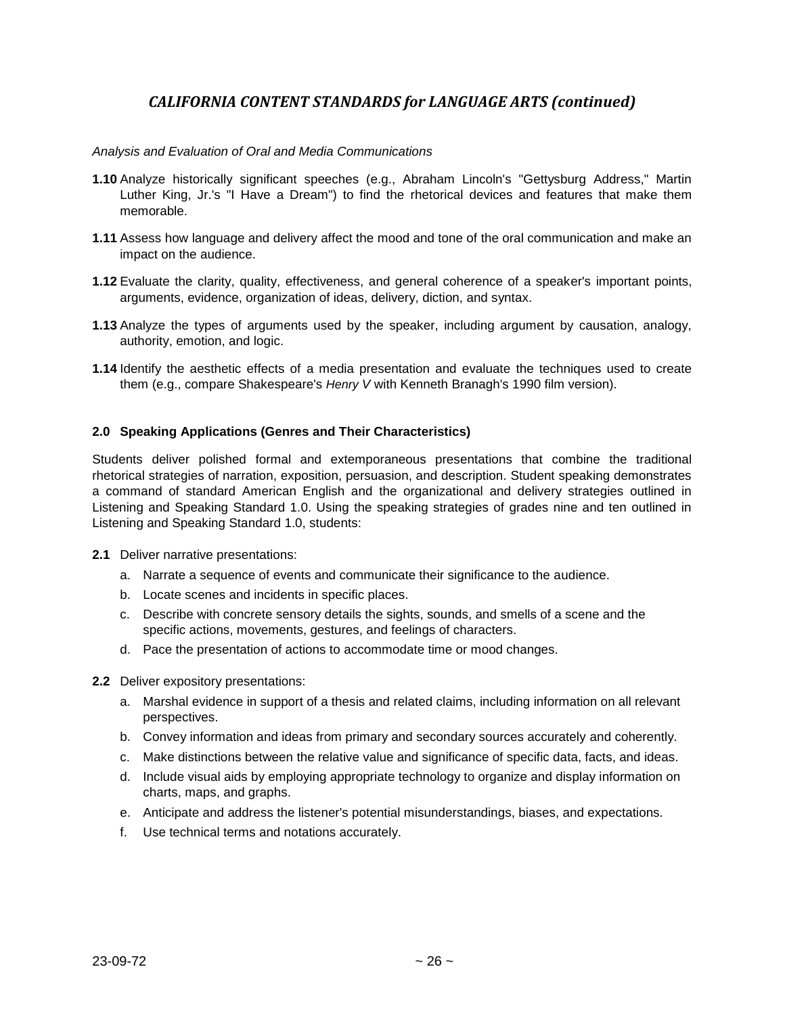#### *Analysis and Evaluation of Oral and Media Communications*

- **1.10** Analyze historically significant speeches (e.g., Abraham Lincoln's "Gettysburg Address," Martin Luther King, Jr.'s "I Have a Dream") to find the rhetorical devices and features that make them memorable.
- **1.11** Assess how language and delivery affect the mood and tone of the oral communication and make an impact on the audience.
- **1.12** Evaluate the clarity, quality, effectiveness, and general coherence of a speaker's important points, arguments, evidence, organization of ideas, delivery, diction, and syntax.
- **1.13** Analyze the types of arguments used by the speaker, including argument by causation, analogy, authority, emotion, and logic.
- **1.14** Identify the aesthetic effects of a media presentation and evaluate the techniques used to create them (e.g., compare Shakespeare's *Henry V* with Kenneth Branagh's 1990 film version).

#### **2.0 Speaking Applications (Genres and Their Characteristics)**

Students deliver polished formal and extemporaneous presentations that combine the traditional rhetorical strategies of narration, exposition, persuasion, and description. Student speaking demonstrates a command of standard American English and the organizational and delivery strategies outlined in Listening and Speaking Standard 1.0. Using the speaking strategies of grades nine and ten outlined in Listening and Speaking Standard 1.0, students:

- **2.1** Deliver narrative presentations:
	- a. Narrate a sequence of events and communicate their significance to the audience.
	- b. Locate scenes and incidents in specific places.
	- c. Describe with concrete sensory details the sights, sounds, and smells of a scene and the specific actions, movements, gestures, and feelings of characters.
	- d. Pace the presentation of actions to accommodate time or mood changes.
- **2.2** Deliver expository presentations:
	- a. Marshal evidence in support of a thesis and related claims, including information on all relevant perspectives.
	- b. Convey information and ideas from primary and secondary sources accurately and coherently.
	- c. Make distinctions between the relative value and significance of specific data, facts, and ideas.
	- d. Include visual aids by employing appropriate technology to organize and display information on charts, maps, and graphs.
	- e. Anticipate and address the listener's potential misunderstandings, biases, and expectations.
	- f. Use technical terms and notations accurately.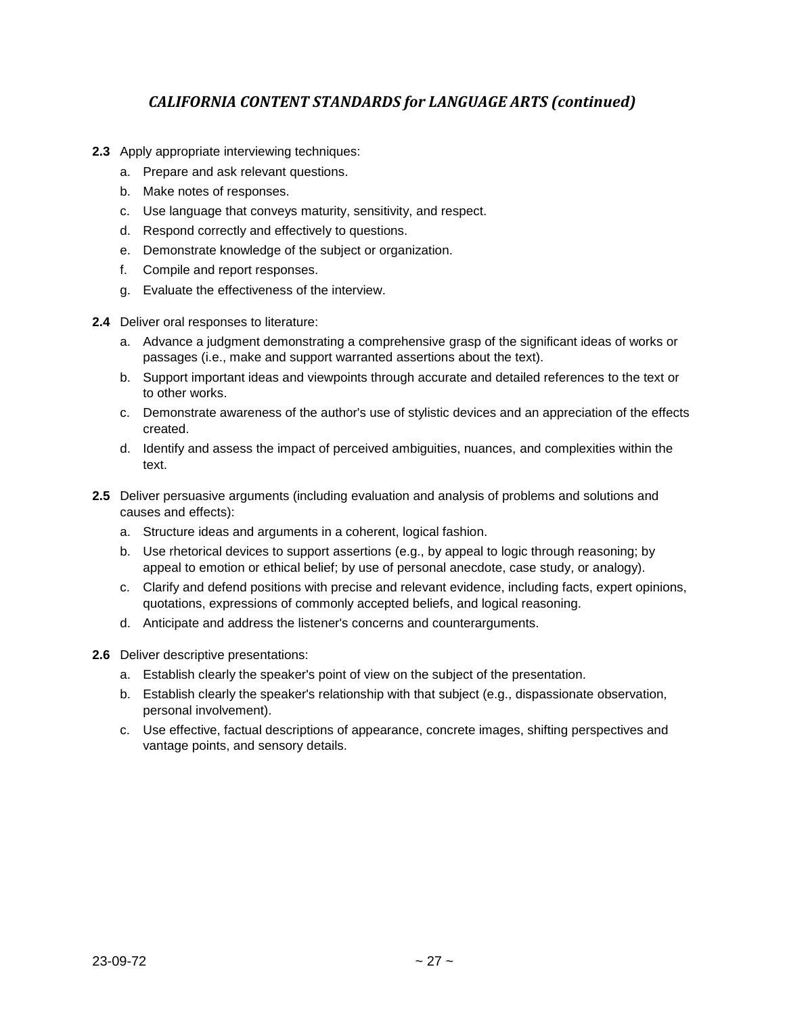- **2.3** Apply appropriate interviewing techniques:
	- a. Prepare and ask relevant questions.
	- b. Make notes of responses.
	- c. Use language that conveys maturity, sensitivity, and respect.
	- d. Respond correctly and effectively to questions.
	- e. Demonstrate knowledge of the subject or organization.
	- f. Compile and report responses.
	- g. Evaluate the effectiveness of the interview.
- **2.4** Deliver oral responses to literature:
	- a. Advance a judgment demonstrating a comprehensive grasp of the significant ideas of works or passages (i.e., make and support warranted assertions about the text).
	- b. Support important ideas and viewpoints through accurate and detailed references to the text or to other works.
	- c. Demonstrate awareness of the author's use of stylistic devices and an appreciation of the effects created.
	- d. Identify and assess the impact of perceived ambiguities, nuances, and complexities within the text.
- **2.5** Deliver persuasive arguments (including evaluation and analysis of problems and solutions and causes and effects):
	- a. Structure ideas and arguments in a coherent, logical fashion.
	- b. Use rhetorical devices to support assertions (e.g., by appeal to logic through reasoning; by appeal to emotion or ethical belief; by use of personal anecdote, case study, or analogy).
	- c. Clarify and defend positions with precise and relevant evidence, including facts, expert opinions, quotations, expressions of commonly accepted beliefs, and logical reasoning.
	- d. Anticipate and address the listener's concerns and counterarguments.
- **2.6** Deliver descriptive presentations:
	- a. Establish clearly the speaker's point of view on the subject of the presentation.
	- b. Establish clearly the speaker's relationship with that subject (e.g., dispassionate observation, personal involvement).
	- c. Use effective, factual descriptions of appearance, concrete images, shifting perspectives and vantage points, and sensory details.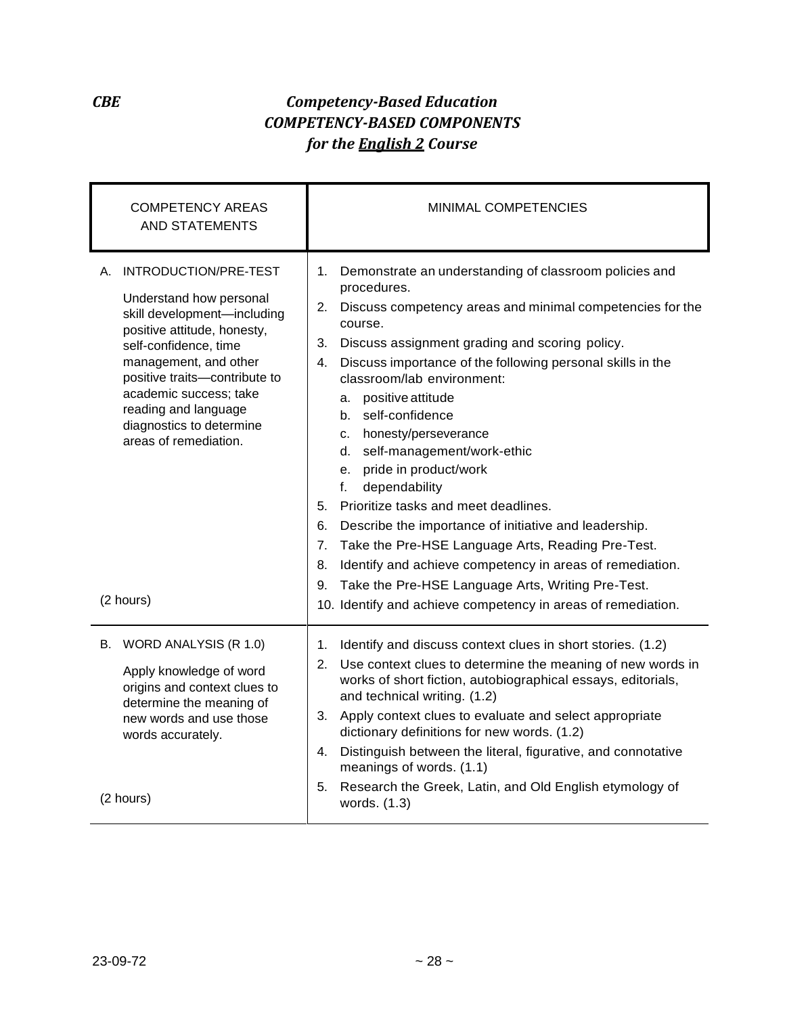# *CBE Competency-Based Education COMPETENCY-BASED COMPONENTS for the English 2 Course*

| <b>COMPETENCY AREAS</b><br><b>AND STATEMENTS</b>                                                                                                                                                                                                                                                                            | MINIMAL COMPETENCIES                                                                                                                                                                                                                                                                                                                                                                                                                                                                                                                                                                                                                                                                                                                                                                                                                                     |
|-----------------------------------------------------------------------------------------------------------------------------------------------------------------------------------------------------------------------------------------------------------------------------------------------------------------------------|----------------------------------------------------------------------------------------------------------------------------------------------------------------------------------------------------------------------------------------------------------------------------------------------------------------------------------------------------------------------------------------------------------------------------------------------------------------------------------------------------------------------------------------------------------------------------------------------------------------------------------------------------------------------------------------------------------------------------------------------------------------------------------------------------------------------------------------------------------|
| INTRODUCTION/PRE-TEST<br>А.<br>Understand how personal<br>skill development-including<br>positive attitude, honesty,<br>self-confidence, time<br>management, and other<br>positive traits-contribute to<br>academic success; take<br>reading and language<br>diagnostics to determine<br>areas of remediation.<br>(2 hours) | Demonstrate an understanding of classroom policies and<br>1.<br>procedures.<br>Discuss competency areas and minimal competencies for the<br>2.<br>course.<br>3.<br>Discuss assignment grading and scoring policy.<br>Discuss importance of the following personal skills in the<br>4.<br>classroom/lab environment:<br>a. positive attitude<br>b. self-confidence<br>c. honesty/perseverance<br>d. self-management/work-ethic<br>pride in product/work<br>e.<br>dependability<br>f.<br>Prioritize tasks and meet deadlines.<br>5.<br>Describe the importance of initiative and leadership.<br>6.<br>Take the Pre-HSE Language Arts, Reading Pre-Test.<br>7.<br>Identify and achieve competency in areas of remediation.<br>8.<br>Take the Pre-HSE Language Arts, Writing Pre-Test.<br>9.<br>10. Identify and achieve competency in areas of remediation. |
|                                                                                                                                                                                                                                                                                                                             |                                                                                                                                                                                                                                                                                                                                                                                                                                                                                                                                                                                                                                                                                                                                                                                                                                                          |
| B. WORD ANALYSIS (R 1.0)<br>Apply knowledge of word<br>origins and context clues to<br>determine the meaning of<br>new words and use those<br>words accurately.                                                                                                                                                             | Identify and discuss context clues in short stories. (1.2)<br>1.<br>Use context clues to determine the meaning of new words in<br>2.<br>works of short fiction, autobiographical essays, editorials,<br>and technical writing. (1.2)<br>Apply context clues to evaluate and select appropriate<br>3.<br>dictionary definitions for new words. (1.2)<br>Distinguish between the literal, figurative, and connotative<br>4.<br>meanings of words. (1.1)                                                                                                                                                                                                                                                                                                                                                                                                    |
| (2 hours)                                                                                                                                                                                                                                                                                                                   | Research the Greek, Latin, and Old English etymology of<br>5.<br>words. (1.3)                                                                                                                                                                                                                                                                                                                                                                                                                                                                                                                                                                                                                                                                                                                                                                            |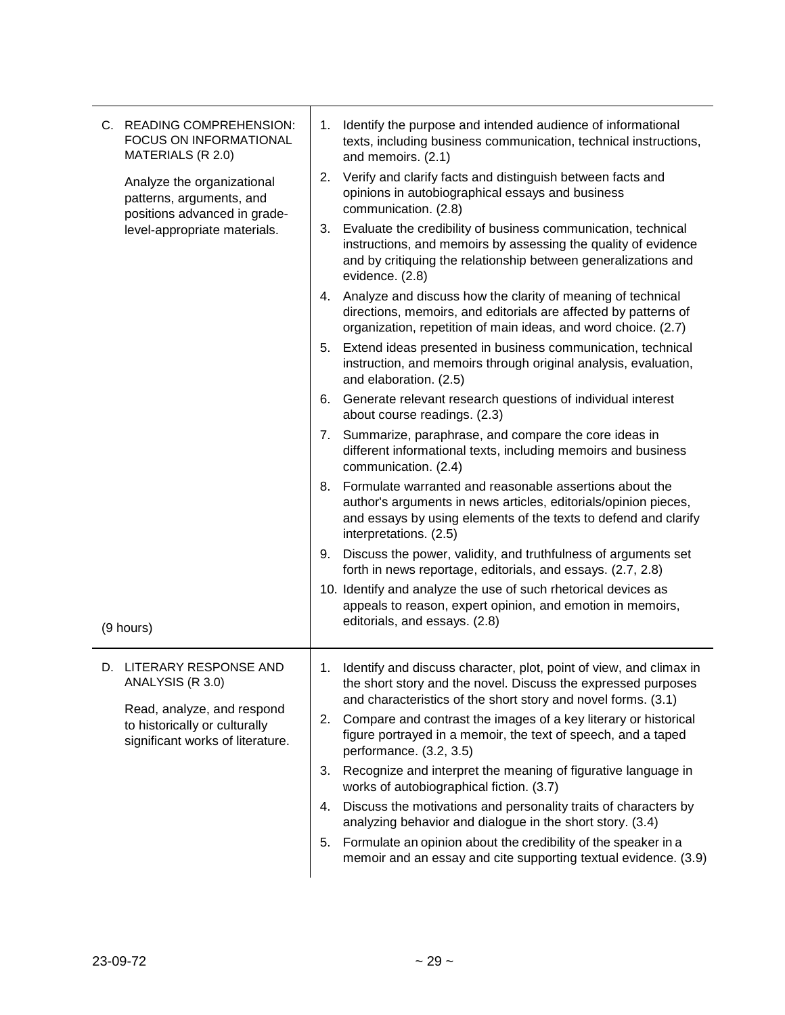| C. READING COMPREHENSION:<br>FOCUS ON INFORMATIONAL<br>MATERIALS (R 2.0)                        | Identify the purpose and intended audience of informational<br>1.<br>texts, including business communication, technical instructions,<br>and memoirs. (2.1)                                                                        |
|-------------------------------------------------------------------------------------------------|------------------------------------------------------------------------------------------------------------------------------------------------------------------------------------------------------------------------------------|
| Analyze the organizational<br>patterns, arguments, and<br>positions advanced in grade-          | Verify and clarify facts and distinguish between facts and<br>2.<br>opinions in autobiographical essays and business<br>communication. (2.8)                                                                                       |
| level-appropriate materials.                                                                    | Evaluate the credibility of business communication, technical<br>3.<br>instructions, and memoirs by assessing the quality of evidence<br>and by critiquing the relationship between generalizations and<br>evidence. (2.8)         |
|                                                                                                 | Analyze and discuss how the clarity of meaning of technical<br>4.<br>directions, memoirs, and editorials are affected by patterns of<br>organization, repetition of main ideas, and word choice. (2.7)                             |
|                                                                                                 | Extend ideas presented in business communication, technical<br>5.<br>instruction, and memoirs through original analysis, evaluation,<br>and elaboration. (2.5)                                                                     |
|                                                                                                 | Generate relevant research questions of individual interest<br>6.<br>about course readings. (2.3)                                                                                                                                  |
|                                                                                                 | Summarize, paraphrase, and compare the core ideas in<br>7.<br>different informational texts, including memoirs and business<br>communication. (2.4)                                                                                |
|                                                                                                 | Formulate warranted and reasonable assertions about the<br>8.<br>author's arguments in news articles, editorials/opinion pieces,<br>and essays by using elements of the texts to defend and clarify<br>interpretations. (2.5)      |
|                                                                                                 | Discuss the power, validity, and truthfulness of arguments set<br>9.<br>forth in news reportage, editorials, and essays. (2.7, 2.8)                                                                                                |
|                                                                                                 | 10. Identify and analyze the use of such rhetorical devices as<br>appeals to reason, expert opinion, and emotion in memoirs,                                                                                                       |
| (9 hours)                                                                                       | editorials, and essays. (2.8)                                                                                                                                                                                                      |
| D. LITERARY RESPONSE AND<br>ANALYSIS (R 3.0)                                                    | Identify and discuss character, plot, point of view, and climax in<br>1.<br>the short story and the novel. Discuss the expressed purposes                                                                                          |
| Read, analyze, and respond<br>to historically or culturally<br>significant works of literature. | and characteristics of the short story and novel forms. (3.1)<br>Compare and contrast the images of a key literary or historical<br>2.<br>figure portrayed in a memoir, the text of speech, and a taped<br>performance. (3.2, 3.5) |
|                                                                                                 | Recognize and interpret the meaning of figurative language in<br>3.<br>works of autobiographical fiction. (3.7)                                                                                                                    |
|                                                                                                 | Discuss the motivations and personality traits of characters by<br>4.<br>analyzing behavior and dialogue in the short story. (3.4)                                                                                                 |
|                                                                                                 | Formulate an opinion about the credibility of the speaker in a<br>5.<br>memoir and an essay and cite supporting textual evidence. (3.9)                                                                                            |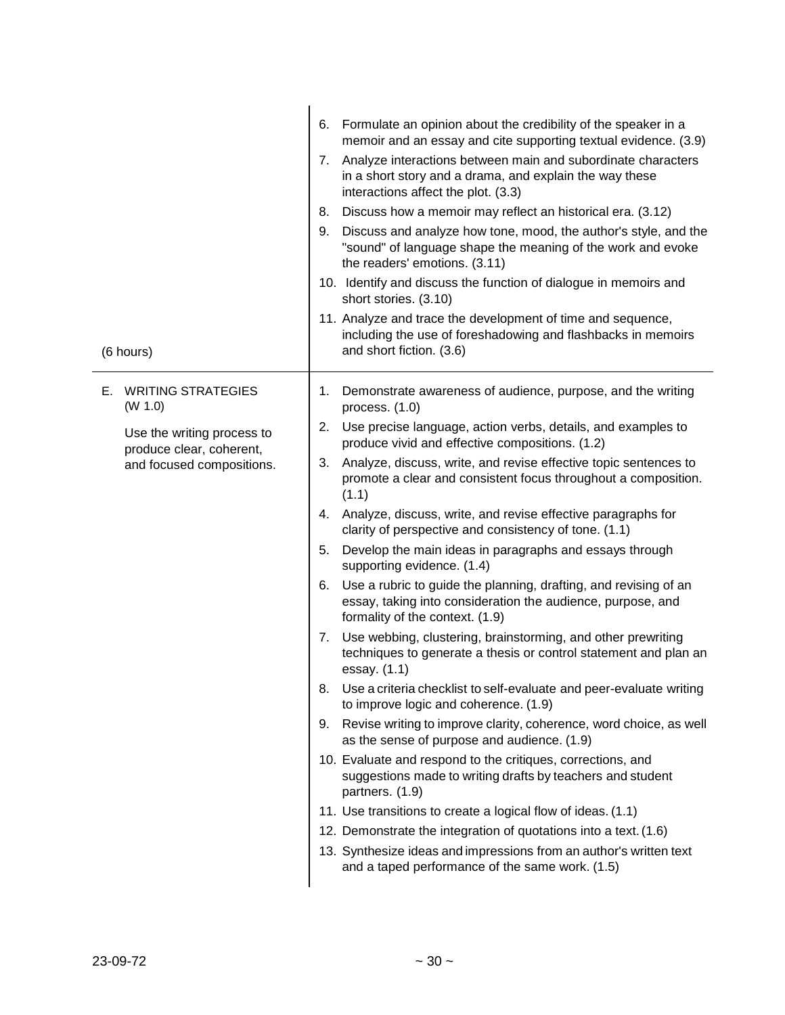| (6 hours)                                                                                            | Formulate an opinion about the credibility of the speaker in a<br>6.<br>memoir and an essay and cite supporting textual evidence. (3.9)<br>7. Analyze interactions between main and subordinate characters<br>in a short story and a drama, and explain the way these<br>interactions affect the plot. (3.3)<br>Discuss how a memoir may reflect an historical era. (3.12)<br>8.<br>Discuss and analyze how tone, mood, the author's style, and the<br>9.<br>"sound" of language shape the meaning of the work and evoke<br>the readers' emotions. (3.11)<br>10. Identify and discuss the function of dialogue in memoirs and<br>short stories. (3.10)<br>11. Analyze and trace the development of time and sequence,<br>including the use of foreshadowing and flashbacks in memoirs<br>and short fiction. (3.6) |
|------------------------------------------------------------------------------------------------------|-------------------------------------------------------------------------------------------------------------------------------------------------------------------------------------------------------------------------------------------------------------------------------------------------------------------------------------------------------------------------------------------------------------------------------------------------------------------------------------------------------------------------------------------------------------------------------------------------------------------------------------------------------------------------------------------------------------------------------------------------------------------------------------------------------------------|
| <b>WRITING STRATEGIES</b><br>Е.<br>(W 1.0)<br>Use the writing process to<br>produce clear, coherent, | Demonstrate awareness of audience, purpose, and the writing<br>1.<br>process. $(1.0)$<br>Use precise language, action verbs, details, and examples to<br>2.<br>produce vivid and effective compositions. (1.2)                                                                                                                                                                                                                                                                                                                                                                                                                                                                                                                                                                                                    |
| and focused compositions.                                                                            | Analyze, discuss, write, and revise effective topic sentences to<br>3.<br>promote a clear and consistent focus throughout a composition.<br>(1.1)                                                                                                                                                                                                                                                                                                                                                                                                                                                                                                                                                                                                                                                                 |
|                                                                                                      | 4. Analyze, discuss, write, and revise effective paragraphs for<br>clarity of perspective and consistency of tone. (1.1)                                                                                                                                                                                                                                                                                                                                                                                                                                                                                                                                                                                                                                                                                          |
|                                                                                                      | Develop the main ideas in paragraphs and essays through<br>5.<br>supporting evidence. (1.4)                                                                                                                                                                                                                                                                                                                                                                                                                                                                                                                                                                                                                                                                                                                       |
|                                                                                                      | Use a rubric to guide the planning, drafting, and revising of an<br>6.<br>essay, taking into consideration the audience, purpose, and<br>formality of the context. (1.9)                                                                                                                                                                                                                                                                                                                                                                                                                                                                                                                                                                                                                                          |
|                                                                                                      | Use webbing, clustering, brainstorming, and other prewriting<br>7.<br>techniques to generate a thesis or control statement and plan an<br>essay. (1.1)                                                                                                                                                                                                                                                                                                                                                                                                                                                                                                                                                                                                                                                            |
|                                                                                                      | Use a criteria checklist to self-evaluate and peer-evaluate writing<br>8.<br>to improve logic and coherence. (1.9)                                                                                                                                                                                                                                                                                                                                                                                                                                                                                                                                                                                                                                                                                                |
|                                                                                                      | Revise writing to improve clarity, coherence, word choice, as well<br>9.<br>as the sense of purpose and audience. (1.9)                                                                                                                                                                                                                                                                                                                                                                                                                                                                                                                                                                                                                                                                                           |
|                                                                                                      | 10. Evaluate and respond to the critiques, corrections, and<br>suggestions made to writing drafts by teachers and student<br>partners. (1.9)                                                                                                                                                                                                                                                                                                                                                                                                                                                                                                                                                                                                                                                                      |
|                                                                                                      | 11. Use transitions to create a logical flow of ideas. (1.1)                                                                                                                                                                                                                                                                                                                                                                                                                                                                                                                                                                                                                                                                                                                                                      |
|                                                                                                      | 12. Demonstrate the integration of quotations into a text. (1.6)                                                                                                                                                                                                                                                                                                                                                                                                                                                                                                                                                                                                                                                                                                                                                  |
|                                                                                                      | 13. Synthesize ideas and impressions from an author's written text<br>and a taped performance of the same work. (1.5)                                                                                                                                                                                                                                                                                                                                                                                                                                                                                                                                                                                                                                                                                             |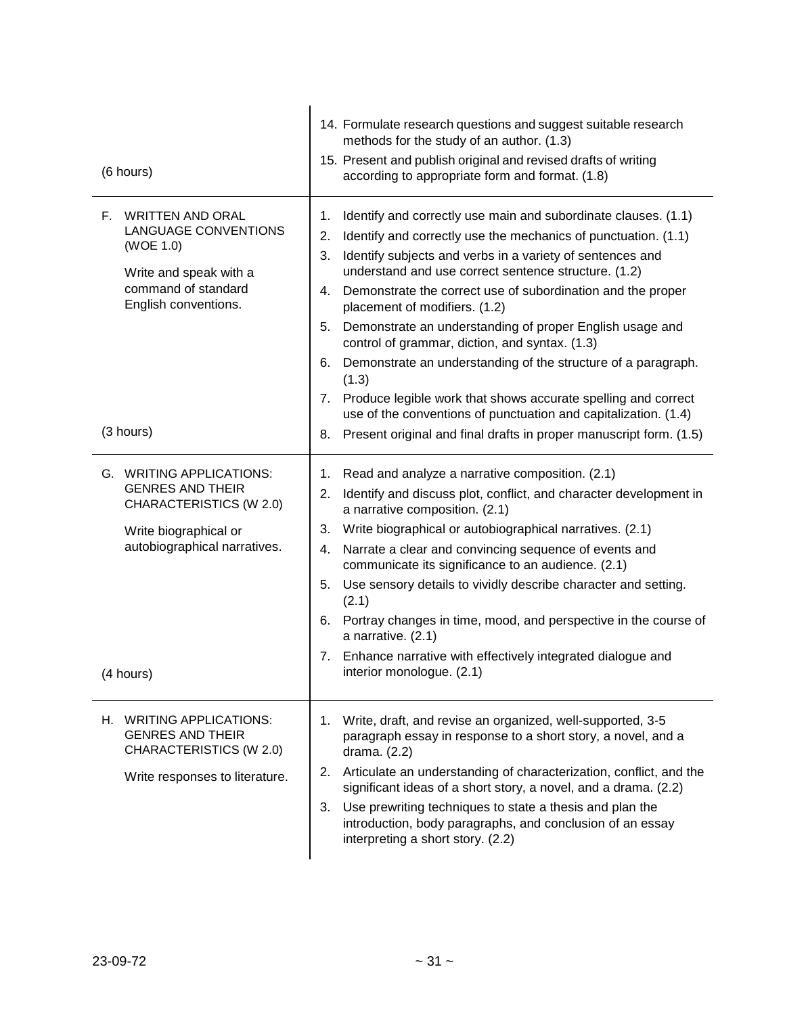| (6 hours)                                                                                                                                                   | 14. Formulate research questions and suggest suitable research<br>methods for the study of an author. (1.3)<br>15. Present and publish original and revised drafts of writing<br>according to appropriate form and format. (1.8)                                                                                                                                                                                                                                                                                                                                                                                                                                                                                            |
|-------------------------------------------------------------------------------------------------------------------------------------------------------------|-----------------------------------------------------------------------------------------------------------------------------------------------------------------------------------------------------------------------------------------------------------------------------------------------------------------------------------------------------------------------------------------------------------------------------------------------------------------------------------------------------------------------------------------------------------------------------------------------------------------------------------------------------------------------------------------------------------------------------|
| Е.<br><b>WRITTEN AND ORAL</b><br>LANGUAGE CONVENTIONS<br>(WOE 1.0)<br>Write and speak with a<br>command of standard<br>English conventions.<br>(3 hours)    | Identify and correctly use main and subordinate clauses. (1.1)<br>1.<br>Identify and correctly use the mechanics of punctuation. (1.1)<br>2.<br>Identify subjects and verbs in a variety of sentences and<br>3.<br>understand and use correct sentence structure. (1.2)<br>Demonstrate the correct use of subordination and the proper<br>4.<br>placement of modifiers. (1.2)<br>Demonstrate an understanding of proper English usage and<br>5.<br>control of grammar, diction, and syntax. (1.3)<br>Demonstrate an understanding of the structure of a paragraph.<br>6.<br>(1.3)<br>Produce legible work that shows accurate spelling and correct<br>7.<br>use of the conventions of punctuation and capitalization. (1.4) |
|                                                                                                                                                             | Present original and final drafts in proper manuscript form. (1.5)<br>8.                                                                                                                                                                                                                                                                                                                                                                                                                                                                                                                                                                                                                                                    |
| G. WRITING APPLICATIONS:<br><b>GENRES AND THEIR</b><br><b>CHARACTERISTICS (W 2.0)</b><br>Write biographical or<br>autobiographical narratives.<br>(4 hours) | Read and analyze a narrative composition. (2.1)<br>1.<br>Identify and discuss plot, conflict, and character development in<br>2.<br>a narrative composition. (2.1)<br>Write biographical or autobiographical narratives. (2.1)<br>3.<br>Narrate a clear and convincing sequence of events and<br>4.<br>communicate its significance to an audience. (2.1)<br>Use sensory details to vividly describe character and setting.<br>5.<br>(2.1)<br>Portray changes in time, mood, and perspective in the course of<br>6.<br>a narrative. (2.1)<br>Enhance narrative with effectively integrated dialogue and<br>7.<br>interior monologue. (2.1)                                                                                  |
| H. WRITING APPLICATIONS:<br><b>GENRES AND THEIR</b><br>CHARACTERISTICS (W 2.0)<br>Write responses to literature.                                            | Write, draft, and revise an organized, well-supported, 3-5<br>1.<br>paragraph essay in response to a short story, a novel, and a<br>drama. $(2.2)$<br>Articulate an understanding of characterization, conflict, and the<br>2.<br>significant ideas of a short story, a novel, and a drama. (2.2)<br>3.<br>Use prewriting techniques to state a thesis and plan the<br>introduction, body paragraphs, and conclusion of an essay<br>interpreting a short story. (2.2)                                                                                                                                                                                                                                                       |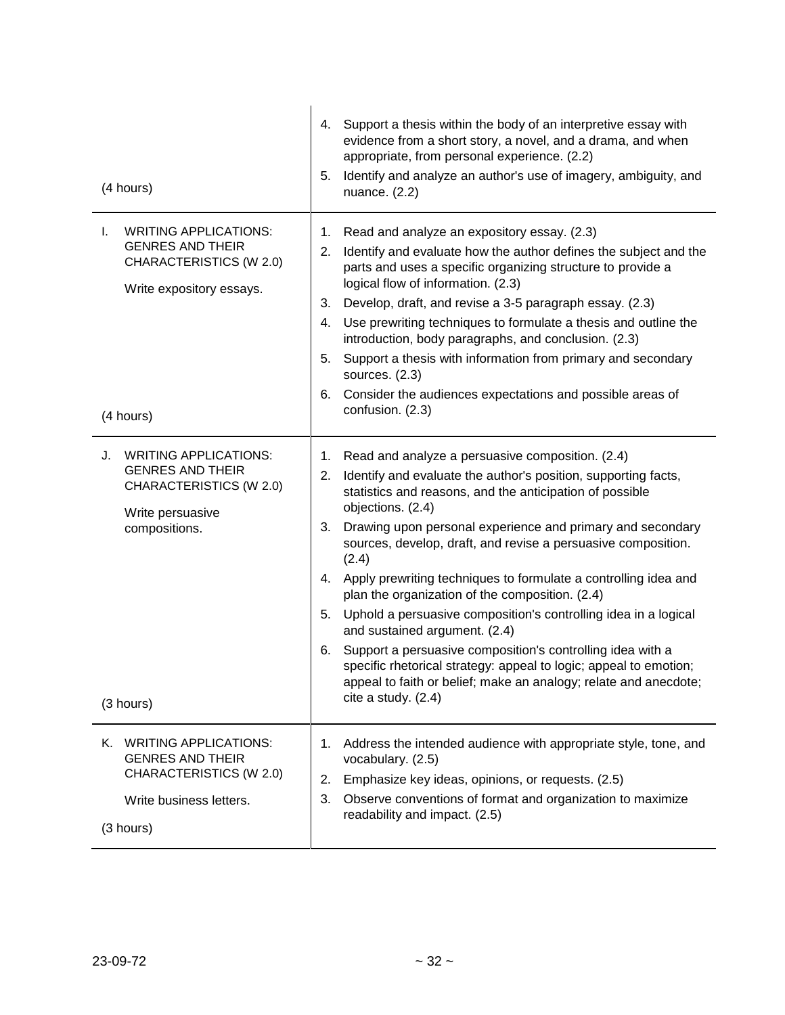| (4 hours)                                                                                                                                   | Support a thesis within the body of an interpretive essay with<br>4.<br>evidence from a short story, a novel, and a drama, and when<br>appropriate, from personal experience. (2.2)<br>Identify and analyze an author's use of imagery, ambiguity, and<br>5.<br>nuance. (2.2)                                                                                                                                                                                                                                                                                                                                                                                                                                                                                                                                                           |
|---------------------------------------------------------------------------------------------------------------------------------------------|-----------------------------------------------------------------------------------------------------------------------------------------------------------------------------------------------------------------------------------------------------------------------------------------------------------------------------------------------------------------------------------------------------------------------------------------------------------------------------------------------------------------------------------------------------------------------------------------------------------------------------------------------------------------------------------------------------------------------------------------------------------------------------------------------------------------------------------------|
| $\mathbf{L}$<br><b>WRITING APPLICATIONS:</b><br><b>GENRES AND THEIR</b><br>CHARACTERISTICS (W 2.0)<br>Write expository essays.<br>(4 hours) | Read and analyze an expository essay. (2.3)<br>1.<br>Identify and evaluate how the author defines the subject and the<br>2.<br>parts and uses a specific organizing structure to provide a<br>logical flow of information. (2.3)<br>Develop, draft, and revise a 3-5 paragraph essay. (2.3)<br>3.<br>Use prewriting techniques to formulate a thesis and outline the<br>4.<br>introduction, body paragraphs, and conclusion. (2.3)<br>Support a thesis with information from primary and secondary<br>5.<br>sources. $(2.3)$<br>Consider the audiences expectations and possible areas of<br>6.<br>confusion. (2.3)                                                                                                                                                                                                                     |
| <b>WRITING APPLICATIONS:</b><br>J.<br><b>GENRES AND THEIR</b><br>CHARACTERISTICS (W 2.0)<br>Write persuasive<br>compositions.               | Read and analyze a persuasive composition. (2.4)<br>1.<br>Identify and evaluate the author's position, supporting facts,<br>2.<br>statistics and reasons, and the anticipation of possible<br>objections. (2.4)<br>Drawing upon personal experience and primary and secondary<br>3.<br>sources, develop, draft, and revise a persuasive composition.<br>(2.4)<br>Apply prewriting techniques to formulate a controlling idea and<br>4.<br>plan the organization of the composition. (2.4)<br>Uphold a persuasive composition's controlling idea in a logical<br>5.<br>and sustained argument. (2.4)<br>Support a persuasive composition's controlling idea with a<br>6.<br>specific rhetorical strategy: appeal to logic; appeal to emotion;<br>appeal to faith or belief; make an analogy; relate and anecdote;<br>cite a study. (2.4) |
| (3 hours)<br>K. WRITING APPLICATIONS:<br><b>GENRES AND THEIR</b><br><b>CHARACTERISTICS (W 2.0)</b><br>Write business letters.<br>(3 hours)  | Address the intended audience with appropriate style, tone, and<br>1.<br>vocabulary. (2.5)<br>Emphasize key ideas, opinions, or requests. (2.5)<br>2.<br>3.<br>Observe conventions of format and organization to maximize<br>readability and impact. (2.5)                                                                                                                                                                                                                                                                                                                                                                                                                                                                                                                                                                              |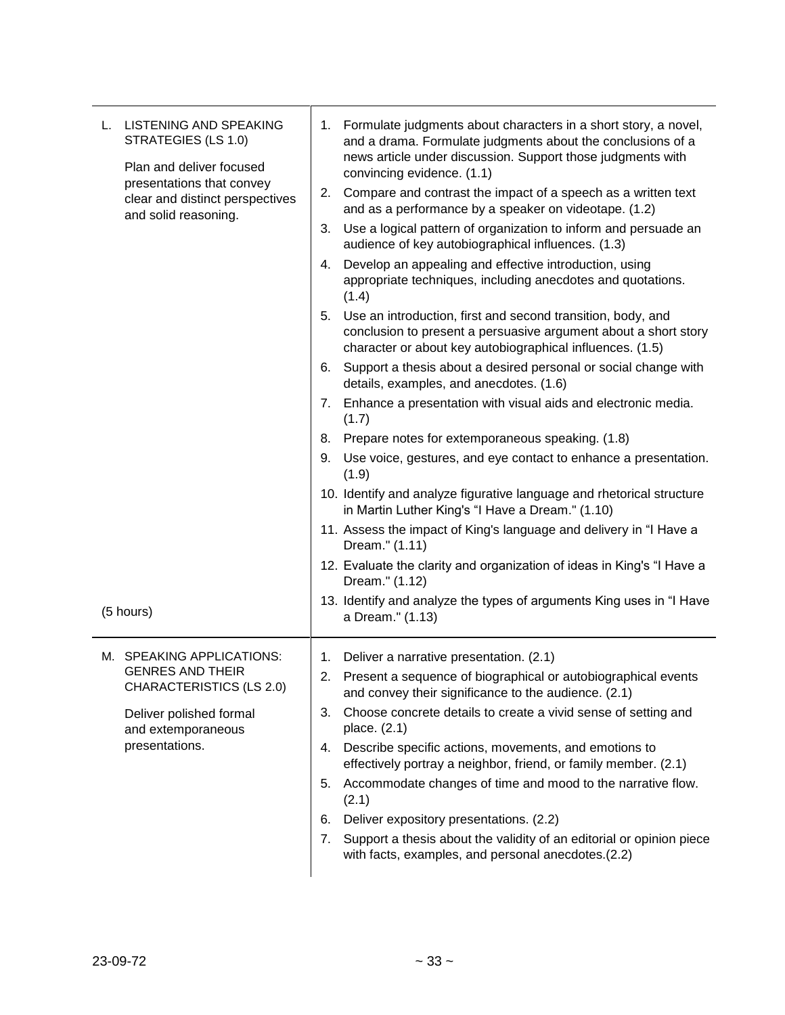| LISTENING AND SPEAKING<br>L.<br>STRATEGIES (LS 1.0)<br>Plan and deliver focused<br>presentations that convey<br>clear and distinct perspectives<br>and solid reasoning. | 1. Formulate judgments about characters in a short story, a novel,<br>and a drama. Formulate judgments about the conclusions of a<br>news article under discussion. Support those judgments with<br>convincing evidence. (1.1)<br>Compare and contrast the impact of a speech as a written text<br>2.<br>and as a performance by a speaker on videotape. (1.2)<br>Use a logical pattern of organization to inform and persuade an<br>3.<br>audience of key autobiographical influences. (1.3)<br>Develop an appealing and effective introduction, using<br>4.<br>appropriate techniques, including anecdotes and quotations.<br>(1.4)<br>Use an introduction, first and second transition, body, and<br>5.<br>conclusion to present a persuasive argument about a short story<br>character or about key autobiographical influences. (1.5)<br>Support a thesis about a desired personal or social change with<br>6.<br>details, examples, and anecdotes. (1.6)<br>Enhance a presentation with visual aids and electronic media.<br>7.<br>(1.7)<br>Prepare notes for extemporaneous speaking. (1.8)<br>8.<br>Use voice, gestures, and eye contact to enhance a presentation.<br>9.<br>(1.9)<br>10. Identify and analyze figurative language and rhetorical structure<br>in Martin Luther King's "I Have a Dream." (1.10)<br>11. Assess the impact of King's language and delivery in "I Have a<br>Dream." (1.11)<br>12. Evaluate the clarity and organization of ideas in King's "I Have a |
|-------------------------------------------------------------------------------------------------------------------------------------------------------------------------|-------------------------------------------------------------------------------------------------------------------------------------------------------------------------------------------------------------------------------------------------------------------------------------------------------------------------------------------------------------------------------------------------------------------------------------------------------------------------------------------------------------------------------------------------------------------------------------------------------------------------------------------------------------------------------------------------------------------------------------------------------------------------------------------------------------------------------------------------------------------------------------------------------------------------------------------------------------------------------------------------------------------------------------------------------------------------------------------------------------------------------------------------------------------------------------------------------------------------------------------------------------------------------------------------------------------------------------------------------------------------------------------------------------------------------------------------------------------------------------------|
| (5 hours)                                                                                                                                                               | Dream." (1.12)<br>13. Identify and analyze the types of arguments King uses in "I Have<br>a Dream." (1.13)                                                                                                                                                                                                                                                                                                                                                                                                                                                                                                                                                                                                                                                                                                                                                                                                                                                                                                                                                                                                                                                                                                                                                                                                                                                                                                                                                                                |
| M. SPEAKING APPLICATIONS:<br><b>GENRES AND THEIR</b><br>CHARACTERISTICS (LS 2.0)<br>Deliver polished formal<br>and extemporaneous<br>presentations.                     | Deliver a narrative presentation. (2.1)<br>1.<br>2. Present a sequence of biographical or autobiographical events<br>and convey their significance to the audience. (2.1)<br>Choose concrete details to create a vivid sense of setting and<br>3.<br>place. (2.1)<br>Describe specific actions, movements, and emotions to<br>4.<br>effectively portray a neighbor, friend, or family member. (2.1)<br>Accommodate changes of time and mood to the narrative flow.<br>5.<br>(2.1)<br>Deliver expository presentations. (2.2)<br>6.<br>Support a thesis about the validity of an editorial or opinion piece<br>7.<br>with facts, examples, and personal anecdotes.(2.2)                                                                                                                                                                                                                                                                                                                                                                                                                                                                                                                                                                                                                                                                                                                                                                                                                    |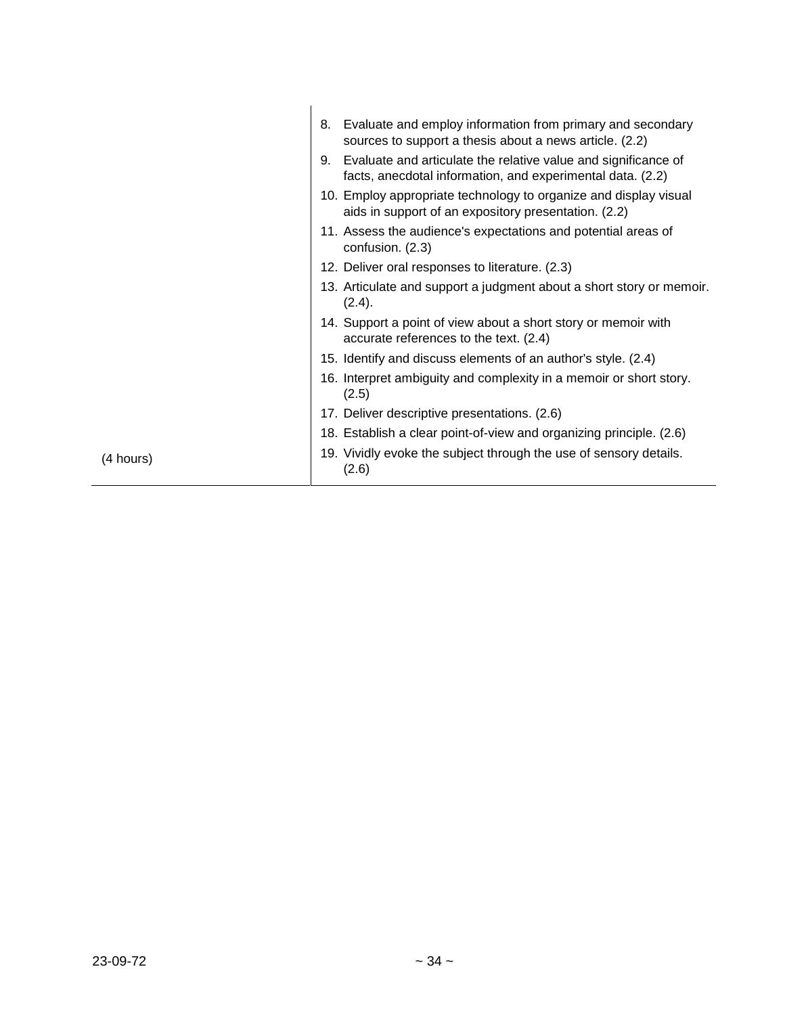|           | Evaluate and employ information from primary and secondary<br>8.<br>sources to support a thesis about a news article. (2.2)        |
|-----------|------------------------------------------------------------------------------------------------------------------------------------|
|           | Evaluate and articulate the relative value and significance of<br>9.<br>facts, anecdotal information, and experimental data. (2.2) |
|           | 10. Employ appropriate technology to organize and display visual<br>aids in support of an expository presentation. (2.2)           |
|           | 11. Assess the audience's expectations and potential areas of<br>confusion. (2.3)                                                  |
|           | 12. Deliver oral responses to literature. (2.3)                                                                                    |
|           | 13. Articulate and support a judgment about a short story or memoir.<br>(2.4).                                                     |
|           | 14. Support a point of view about a short story or memoir with<br>accurate references to the text. (2.4)                           |
|           | 15. Identify and discuss elements of an author's style. (2.4)                                                                      |
|           | 16. Interpret ambiguity and complexity in a memoir or short story.<br>(2.5)                                                        |
|           | 17. Deliver descriptive presentations. (2.6)                                                                                       |
|           | 18. Establish a clear point-of-view and organizing principle. (2.6)                                                                |
| (4 hours) | 19. Vividly evoke the subject through the use of sensory details.<br>(2.6)                                                         |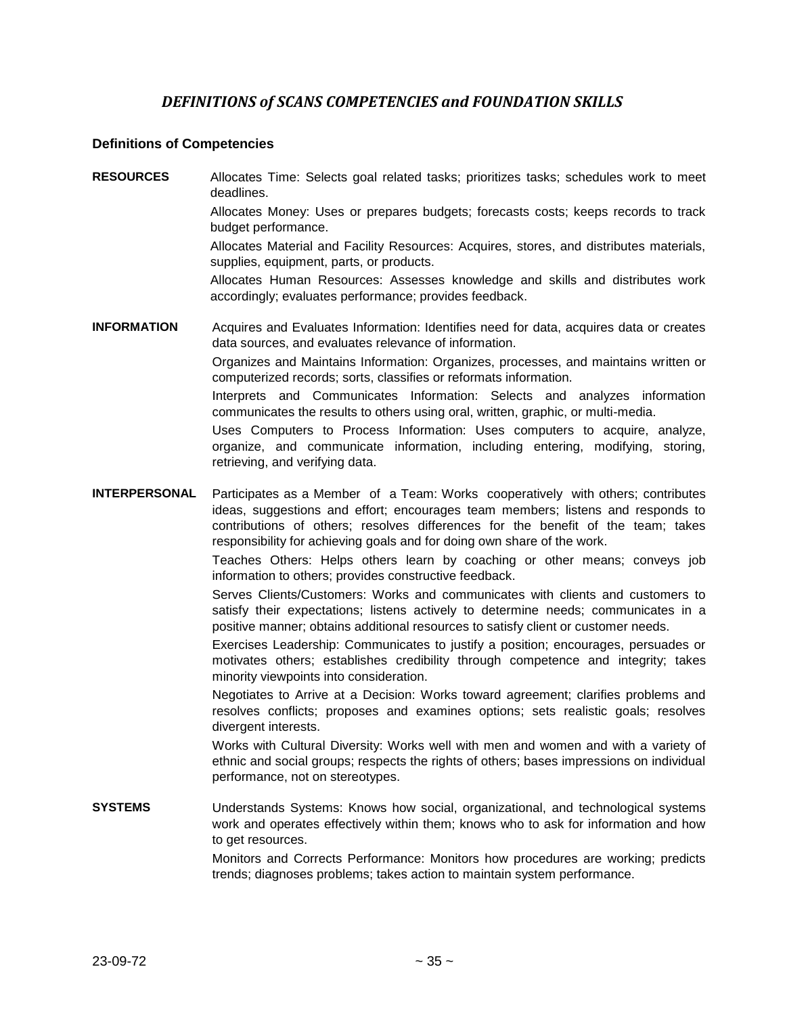## *DEFINITIONS of SCANS COMPETENCIES and FOUNDATION SKILLS*

#### **Definitions of Competencies**

**RESOURCES** Allocates Time: Selects goal related tasks; prioritizes tasks; schedules work to meet deadlines.

> Allocates Money: Uses or prepares budgets; forecasts costs; keeps records to track budget performance.

> Allocates Material and Facility Resources: Acquires, stores, and distributes materials, supplies, equipment, parts, or products.

> Allocates Human Resources: Assesses knowledge and skills and distributes work accordingly; evaluates performance; provides feedback.

**INFORMATION** Acquires and Evaluates Information: Identifies need for data, acquires data or creates data sources, and evaluates relevance of information.

> Organizes and Maintains Information: Organizes, processes, and maintains written or computerized records; sorts, classifies or reformats information.

> Interprets and Communicates Information: Selects and analyzes information communicates the results to others using oral, written, graphic, or multi-media.

> Uses Computers to Process Information: Uses computers to acquire, analyze, organize, and communicate information, including entering, modifying, storing, retrieving, and verifying data.

**INTERPERSONAL** Participates as a Member of a Team: Works cooperatively with others; contributes ideas, suggestions and effort; encourages team members; listens and responds to contributions of others; resolves differences for the benefit of the team; takes responsibility for achieving goals and for doing own share of the work.

> Teaches Others: Helps others learn by coaching or other means; conveys job information to others; provides constructive feedback.

> Serves Clients/Customers: Works and communicates with clients and customers to satisfy their expectations; listens actively to determine needs; communicates in a positive manner; obtains additional resources to satisfy client or customer needs.

> Exercises Leadership: Communicates to justify a position; encourages, persuades or motivates others; establishes credibility through competence and integrity; takes minority viewpoints into consideration.

> Negotiates to Arrive at a Decision: Works toward agreement; clarifies problems and resolves conflicts; proposes and examines options; sets realistic goals; resolves divergent interests.

> Works with Cultural Diversity: Works well with men and women and with a variety of ethnic and social groups; respects the rights of others; bases impressions on individual performance, not on stereotypes.

**SYSTEMS** Understands Systems: Knows how social, organizational, and technological systems work and operates effectively within them; knows who to ask for information and how to get resources.

> Monitors and Corrects Performance: Monitors how procedures are working; predicts trends; diagnoses problems; takes action to maintain system performance.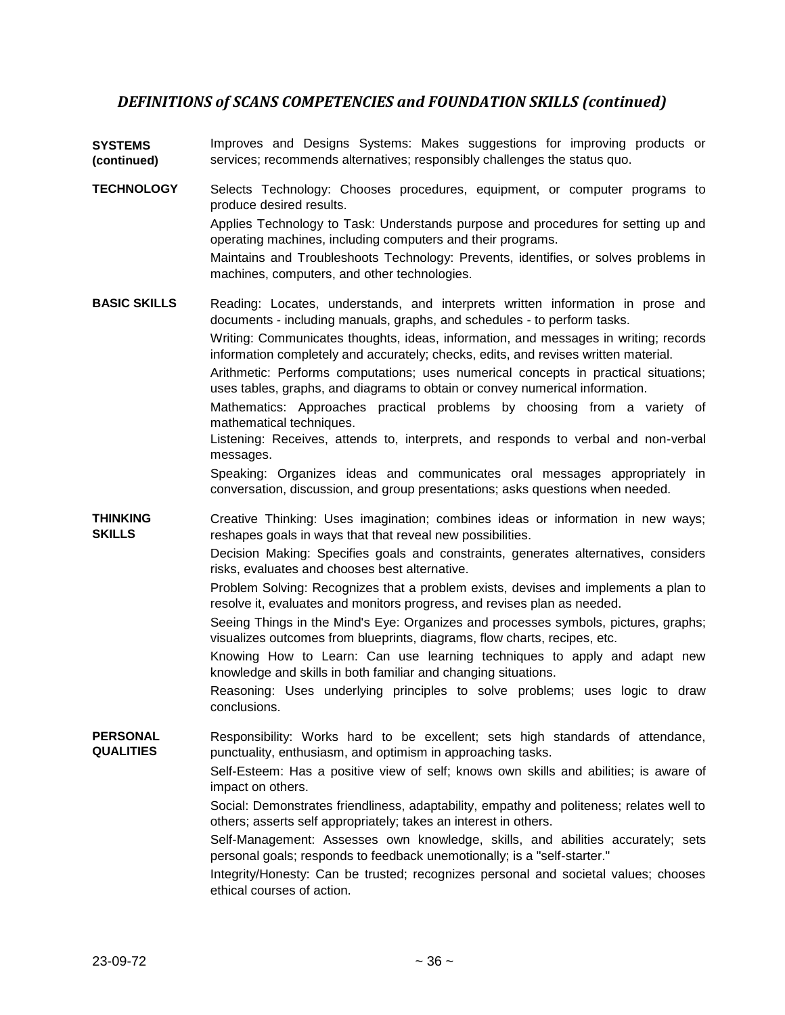## *DEFINITIONS of SCANS COMPETENCIES and FOUNDATION SKILLS (continued)*

**SYSTEMS (continued)** Improves and Designs Systems: Makes suggestions for improving products or services; recommends alternatives; responsibly challenges the status quo.

**TECHNOLOGY** Selects Technology: Chooses procedures, equipment, or computer programs to produce desired results. Applies Technology to Task: Understands purpose and procedures for setting up and operating machines, including computers and their programs. Maintains and Troubleshoots Technology: Prevents, identifies, or solves problems in machines, computers, and other technologies.

**BASIC SKILLS** Reading: Locates, understands, and interprets written information in prose and documents - including manuals, graphs, and schedules - to perform tasks. Writing: Communicates thoughts, ideas, information, and messages in writing; records information completely and accurately; checks, edits, and revises written material. Arithmetic: Performs computations; uses numerical concepts in practical situations; uses tables, graphs, and diagrams to obtain or convey numerical information. Mathematics: Approaches practical problems by choosing from a variety of mathematical techniques. Listening: Receives, attends to, interprets, and responds to verbal and non-verbal

messages.

Speaking: Organizes ideas and communicates oral messages appropriately in conversation, discussion, and group presentations; asks questions when needed.

**THINKING SKILLS** Creative Thinking: Uses imagination; combines ideas or information in new ways; reshapes goals in ways that that reveal new possibilities.

> Decision Making: Specifies goals and constraints, generates alternatives, considers risks, evaluates and chooses best alternative.

> Problem Solving: Recognizes that a problem exists, devises and implements a plan to resolve it, evaluates and monitors progress, and revises plan as needed.

> Seeing Things in the Mind's Eye: Organizes and processes symbols, pictures, graphs; visualizes outcomes from blueprints, diagrams, flow charts, recipes, etc.

> Knowing How to Learn: Can use learning techniques to apply and adapt new knowledge and skills in both familiar and changing situations.

> Reasoning: Uses underlying principles to solve problems; uses logic to draw conclusions.

**PERSONAL QUALITIES** Responsibility: Works hard to be excellent; sets high standards of attendance, punctuality, enthusiasm, and optimism in approaching tasks.

> Self-Esteem: Has a positive view of self; knows own skills and abilities; is aware of impact on others.

> Social: Demonstrates friendliness, adaptability, empathy and politeness; relates well to others; asserts self appropriately; takes an interest in others.

> Self-Management: Assesses own knowledge, skills, and abilities accurately; sets personal goals; responds to feedback unemotionally; is a "self-starter."

> Integrity/Honesty: Can be trusted; recognizes personal and societal values; chooses ethical courses of action.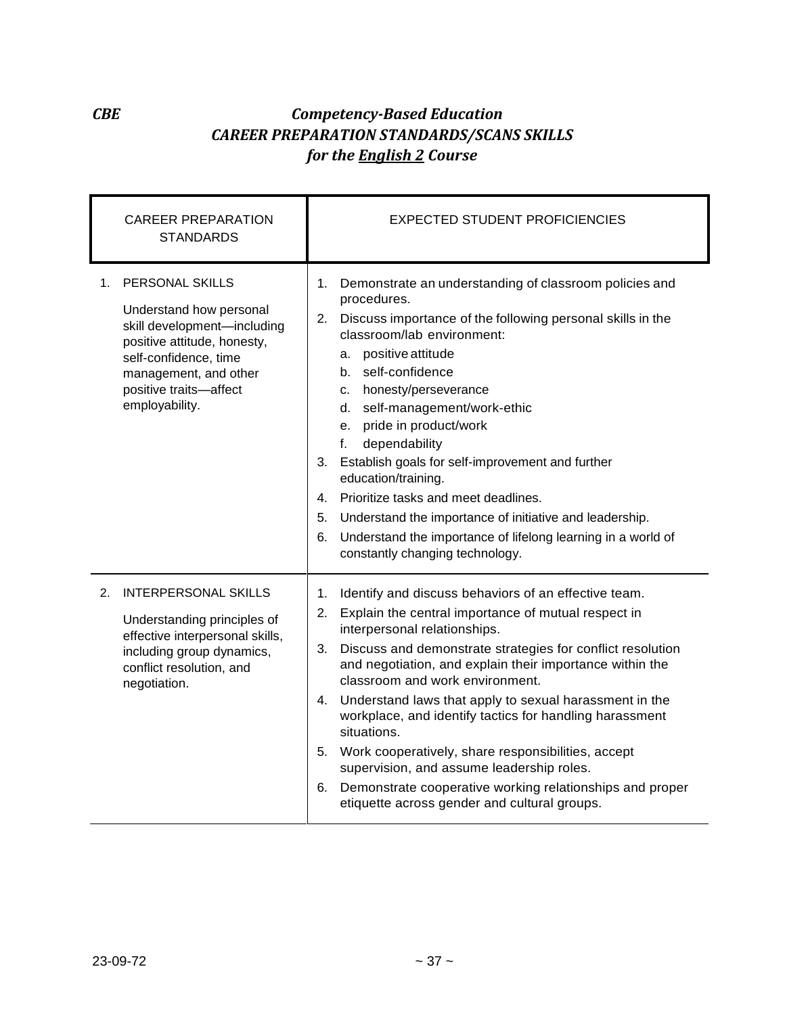# *CBE Competency-Based Education CAREER PREPARATION STANDARDS/SCANS SKILLS for the English 2 Course*

| <b>CAREER PREPARATION</b><br><b>STANDARDS</b>                                                                                                                                                                            | <b>EXPECTED STUDENT PROFICIENCIES</b>                                                                                                                                                                                                                                                                                                                                                                                                                                                                                                                                                                                                                                                        |
|--------------------------------------------------------------------------------------------------------------------------------------------------------------------------------------------------------------------------|----------------------------------------------------------------------------------------------------------------------------------------------------------------------------------------------------------------------------------------------------------------------------------------------------------------------------------------------------------------------------------------------------------------------------------------------------------------------------------------------------------------------------------------------------------------------------------------------------------------------------------------------------------------------------------------------|
| <b>PERSONAL SKILLS</b><br>$1_{-}$<br>Understand how personal<br>skill development-including<br>positive attitude, honesty,<br>self-confidence, time<br>management, and other<br>positive traits-affect<br>employability. | Demonstrate an understanding of classroom policies and<br>1.<br>procedures.<br>Discuss importance of the following personal skills in the<br>2.<br>classroom/lab environment:<br>a. positive attitude<br>b. self-confidence<br>c. honesty/perseverance<br>d. self-management/work-ethic<br>e. pride in product/work<br>dependability<br>f.<br>Establish goals for self-improvement and further<br>3.<br>education/training.<br>Prioritize tasks and meet deadlines.<br>4.<br>5.<br>Understand the importance of initiative and leadership.<br>Understand the importance of lifelong learning in a world of<br>6.<br>constantly changing technology.                                          |
| <b>INTERPERSONAL SKILLS</b><br>2.<br>Understanding principles of<br>effective interpersonal skills,<br>including group dynamics,<br>conflict resolution, and<br>negotiation.                                             | Identify and discuss behaviors of an effective team.<br>1.<br>2.<br>Explain the central importance of mutual respect in<br>interpersonal relationships.<br>Discuss and demonstrate strategies for conflict resolution<br>3.<br>and negotiation, and explain their importance within the<br>classroom and work environment.<br>4. Understand laws that apply to sexual harassment in the<br>workplace, and identify tactics for handling harassment<br>situations.<br>Work cooperatively, share responsibilities, accept<br>5.<br>supervision, and assume leadership roles.<br>Demonstrate cooperative working relationships and proper<br>6.<br>etiquette across gender and cultural groups. |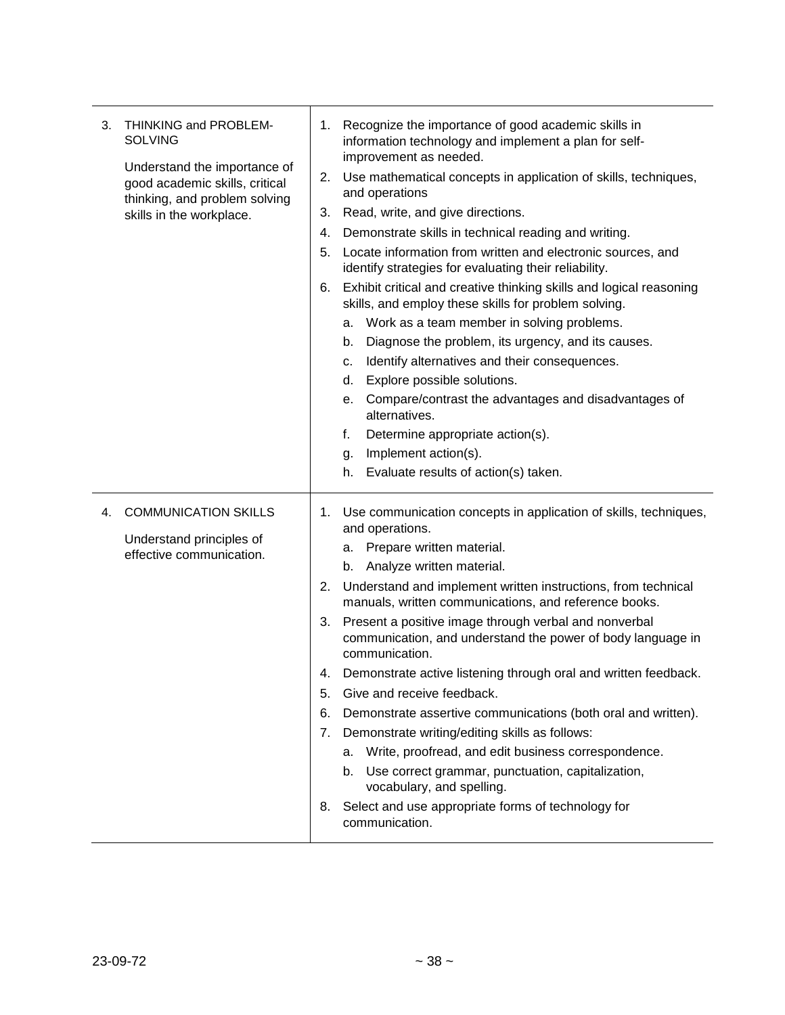| THINKING and PROBLEM-<br>3.<br><b>SOLVING</b><br>Understand the importance of<br>good academic skills, critical<br>thinking, and problem solving<br>skills in the workplace. | Recognize the importance of good academic skills in<br>1.<br>information technology and implement a plan for self-<br>improvement as needed.<br>Use mathematical concepts in application of skills, techniques,<br>2.<br>and operations<br>Read, write, and give directions.<br>3.<br>Demonstrate skills in technical reading and writing.<br>4.<br>Locate information from written and electronic sources, and<br>5.<br>identify strategies for evaluating their reliability.<br>Exhibit critical and creative thinking skills and logical reasoning<br>6.<br>skills, and employ these skills for problem solving.<br>Work as a team member in solving problems.<br>а.<br>Diagnose the problem, its urgency, and its causes.<br>b.<br>Identify alternatives and their consequences.<br>c.<br>Explore possible solutions.<br>d.<br>Compare/contrast the advantages and disadvantages of<br>е.<br>alternatives.<br>f.<br>Determine appropriate action(s).<br>Implement action(s).<br>g.<br>Evaluate results of action(s) taken.<br>h. |
|------------------------------------------------------------------------------------------------------------------------------------------------------------------------------|--------------------------------------------------------------------------------------------------------------------------------------------------------------------------------------------------------------------------------------------------------------------------------------------------------------------------------------------------------------------------------------------------------------------------------------------------------------------------------------------------------------------------------------------------------------------------------------------------------------------------------------------------------------------------------------------------------------------------------------------------------------------------------------------------------------------------------------------------------------------------------------------------------------------------------------------------------------------------------------------------------------------------------------|
| <b>COMMUNICATION SKILLS</b><br>4.<br>Understand principles of<br>effective communication.                                                                                    | Use communication concepts in application of skills, techniques,<br>1.<br>and operations.<br>Prepare written material.<br>а.<br>Analyze written material.<br>b.<br>Understand and implement written instructions, from technical<br>2.<br>manuals, written communications, and reference books.<br>Present a positive image through verbal and nonverbal<br>3.<br>communication, and understand the power of body language in<br>communication.<br>Demonstrate active listening through oral and written feedback.<br>4.<br>Give and receive feedback.<br>5.<br>Demonstrate assertive communications (both oral and written).<br>6.<br>Demonstrate writing/editing skills as follows:<br>7.<br>Write, proofread, and edit business correspondence.<br>а.<br>Use correct grammar, punctuation, capitalization,<br>b.<br>vocabulary, and spelling.<br>Select and use appropriate forms of technology for<br>8.<br>communication.                                                                                                       |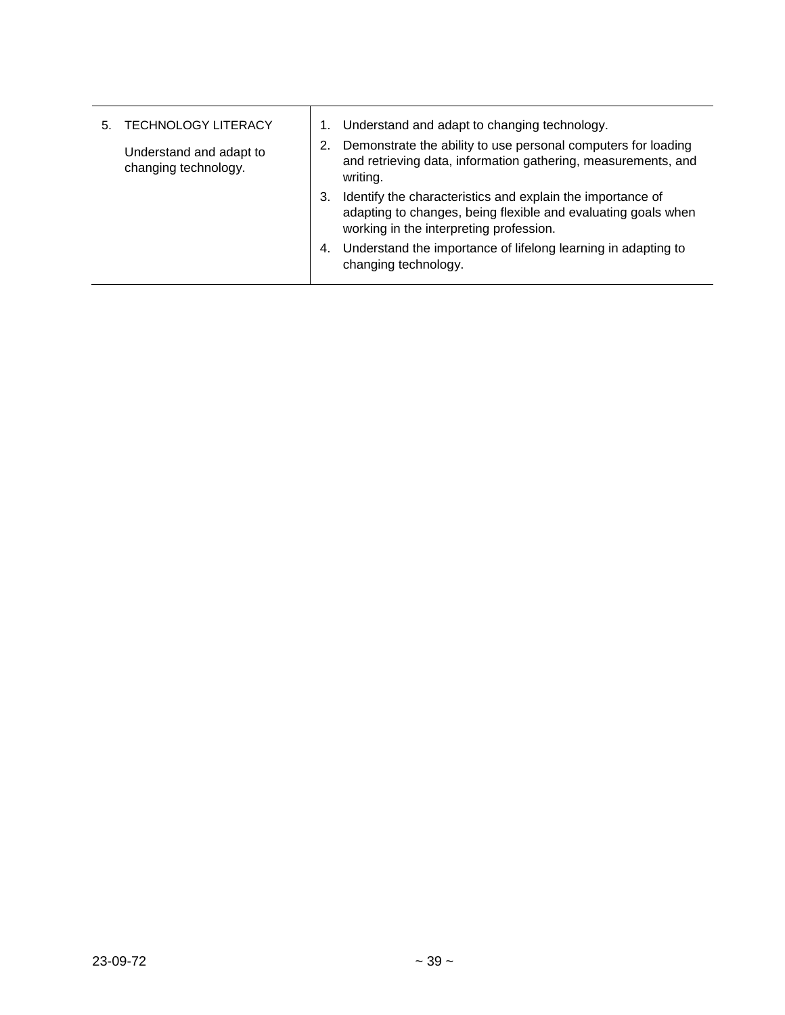| 5 | TECHNOLOGY LITERACY<br>Understand and adapt to<br>changing technology. | 2. | Understand and adapt to changing technology.<br>Demonstrate the ability to use personal computers for loading<br>and retrieving data, information gathering, measurements, and<br>writing. |
|---|------------------------------------------------------------------------|----|--------------------------------------------------------------------------------------------------------------------------------------------------------------------------------------------|
|   |                                                                        | 3. | Identify the characteristics and explain the importance of<br>adapting to changes, being flexible and evaluating goals when<br>working in the interpreting profession.                     |
|   |                                                                        | 4. | Understand the importance of lifelong learning in adapting to<br>changing technology.                                                                                                      |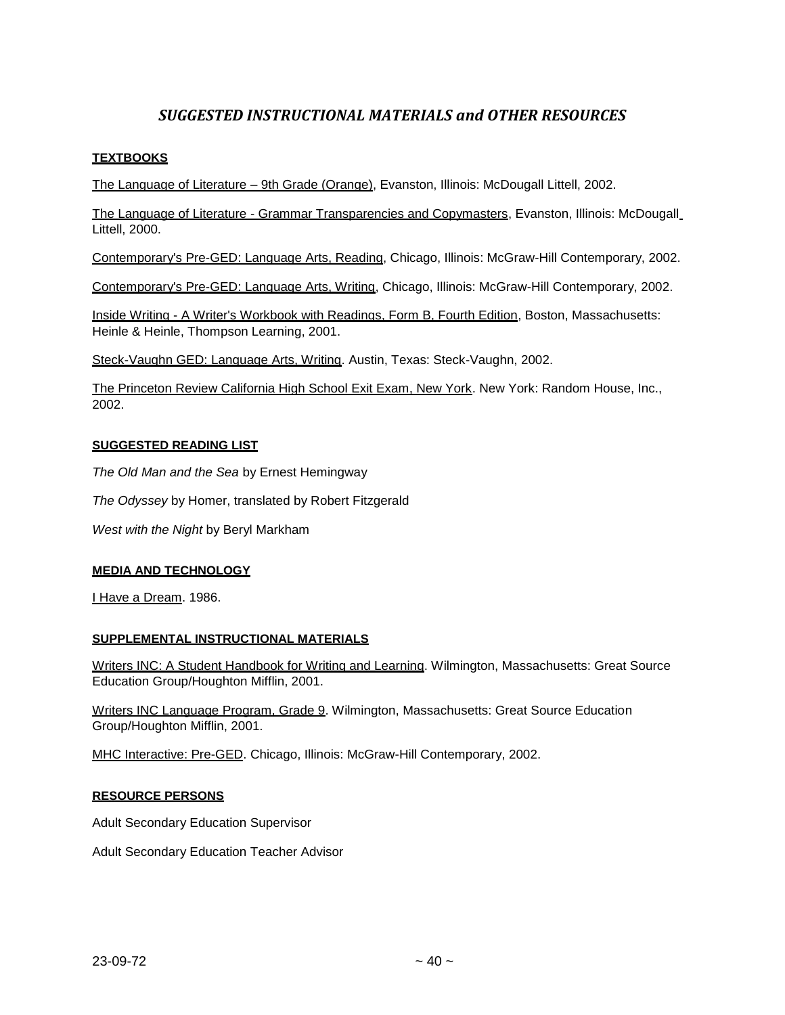## *SUGGESTED INSTRUCTIONAL MATERIALS and OTHER RESOURCES*

#### **TEXTBOOKS**

The Language of Literature – 9th Grade (Orange), Evanston, Illinois: McDougall Littell, 2002.

The Language of Literature - Grammar Transparencies and Copymasters, Evanston, Illinois: McDougall Littell, 2000.

Contemporary's Pre-GED: Language Arts, Reading, Chicago, Illinois: McGraw-Hill Contemporary, 2002.

Contemporary's Pre-GED: Language Arts, Writing, Chicago, Illinois: McGraw-Hill Contemporary, 2002.

Inside Writing - A Writer's Workbook with Readings, Form B, Fourth Edition, Boston, Massachusetts: Heinle & Heinle, Thompson Learning, 2001.

Steck-Vaughn GED: Language Arts, Writing. Austin, Texas: Steck-Vaughn, 2002.

The Princeton Review California High School Exit Exam, New York. New York: Random House, Inc., 2002.

#### **SUGGESTED READING LIST**

*The Old Man and the Sea* by Ernest Hemingway

*The Odyssey* by Homer, translated by Robert Fitzgerald

*West with the Night* by Beryl Markham

#### **MEDIA AND TECHNOLOGY**

I Have a Dream. 1986.

#### **SUPPLEMENTAL INSTRUCTIONAL MATERIALS**

Writers INC: A Student Handbook for Writing and Learning. Wilmington, Massachusetts: Great Source Education Group/Houghton Mifflin, 2001.

Writers INC Language Program, Grade 9. Wilmington, Massachusetts: Great Source Education Group/Houghton Mifflin, 2001.

MHC Interactive: Pre-GED. Chicago, Illinois: McGraw-Hill Contemporary, 2002.

#### **RESOURCE PERSONS**

Adult Secondary Education Supervisor

Adult Secondary Education Teacher Advisor